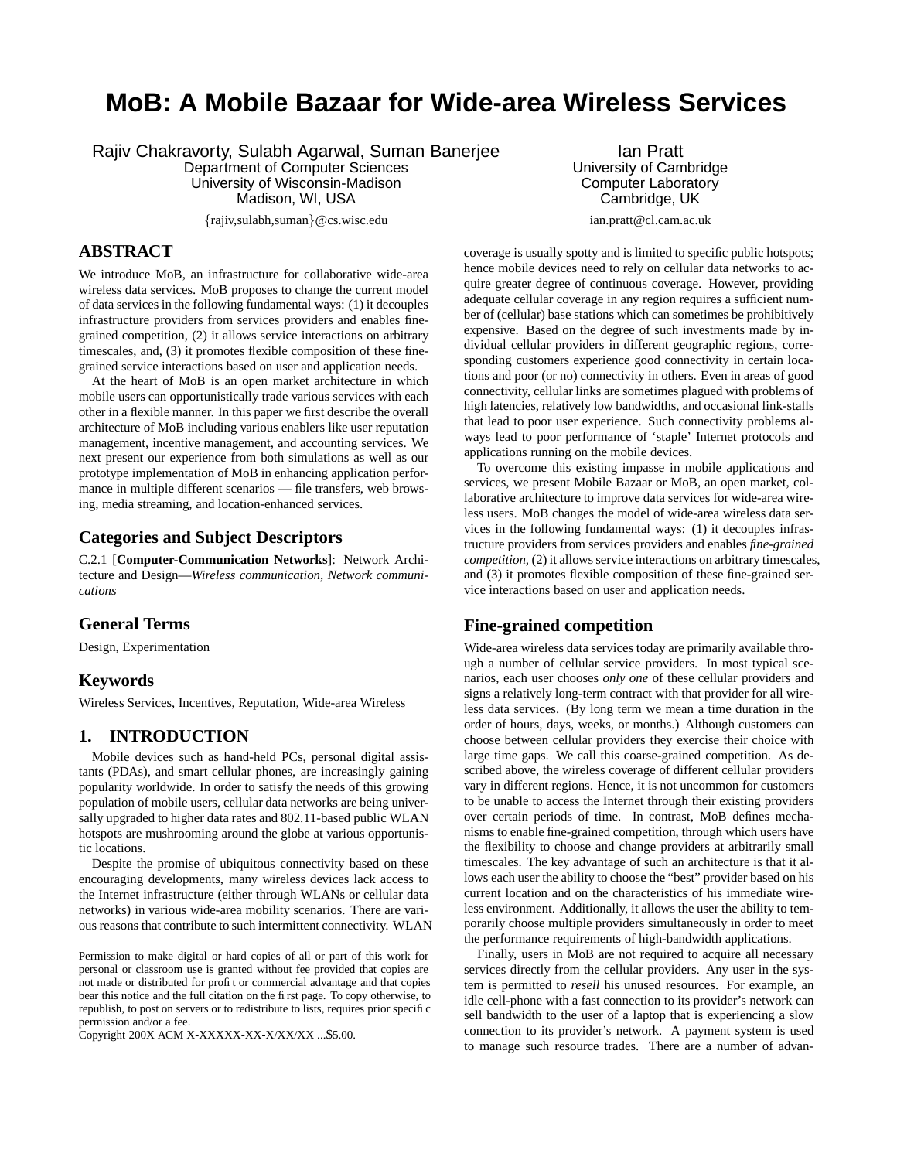# **MoB: A Mobile Bazaar for Wide-area Wireless Services**

Rajiv Chakravorty, Sulabh Agarwal, Suman Banerjee Department of Computer Sciences University of Wisconsin-Madison Madison, WI, USA

{rajiv,sulabh,suman}@cs.wisc.edu

Ian Pratt University of Cambridge Computer Laboratory Cambridge, UK

ian.pratt@cl.cam.ac.uk

# **ABSTRACT**

We introduce MoB, an infrastructure for collaborative wide-area wireless data services. MoB proposes to change the current model of data services in the following fundamental ways: (1) it decouples infrastructure providers from services providers and enables finegrained competition, (2) it allows service interactions on arbitrary timescales, and, (3) it promotes flexible composition of these finegrained service interactions based on user and application needs.

At the heart of MoB is an open market architecture in which mobile users can opportunistically trade various services with each other in a flexible manner. In this paper we first describe the overall architecture of MoB including various enablers like user reputation management, incentive management, and accounting services. We next present our experience from both simulations as well as our prototype implementation of MoB in enhancing application performance in multiple different scenarios — file transfers, web browsing, media streaming, and location-enhanced services.

# **Categories and Subject Descriptors**

C.2.1 [**Computer-Communication Networks**]: Network Architecture and Design—*Wireless communication, Network communications*

# **General Terms**

Design, Experimentation

#### **Keywords**

Wireless Services, Incentives, Reputation, Wide-area Wireless

## **1. INTRODUCTION**

Mobile devices such as hand-held PCs, personal digital assistants (PDAs), and smart cellular phones, are increasingly gaining popularity worldwide. In order to satisfy the needs of this growing population of mobile users, cellular data networks are being universally upgraded to higher data rates and 802.11-based public WLAN hotspots are mushrooming around the globe at various opportunistic locations.

Despite the promise of ubiquitous connectivity based on these encouraging developments, many wireless devices lack access to the Internet infrastructure (either through WLANs or cellular data networks) in various wide-area mobility scenarios. There are various reasons that contribute to such intermittent connectivity. WLAN

Copyright 200X ACM X-XXXXX-XX-X/XX/XX ...\$5.00.

coverage is usually spotty and is limited to specific public hotspots; hence mobile devices need to rely on cellular data networks to acquire greater degree of continuous coverage. However, providing adequate cellular coverage in any region requires a sufficient number of (cellular) base stations which can sometimes be prohibitively expensive. Based on the degree of such investments made by individual cellular providers in different geographic regions, corresponding customers experience good connectivity in certain locations and poor (or no) connectivity in others. Even in areas of good connectivity, cellular links are sometimes plagued with problems of high latencies, relatively low bandwidths, and occasional link-stalls that lead to poor user experience. Such connectivity problems always lead to poor performance of 'staple' Internet protocols and applications running on the mobile devices.

To overcome this existing impasse in mobile applications and services, we present Mobile Bazaar or MoB, an open market, collaborative architecture to improve data services for wide-area wireless users. MoB changes the model of wide-area wireless data services in the following fundamental ways: (1) it decouples infrastructure providers from services providers and enables *fine-grained competition,* (2) it allows service interactions on arbitrary timescales, and (3) it promotes flexible composition of these fine-grained service interactions based on user and application needs.

## **Fine-grained competition**

Wide-area wireless data services today are primarily available through a number of cellular service providers. In most typical scenarios, each user chooses *only one* of these cellular providers and signs a relatively long-term contract with that provider for all wireless data services. (By long term we mean a time duration in the order of hours, days, weeks, or months.) Although customers can choose between cellular providers they exercise their choice with large time gaps. We call this coarse-grained competition. As described above, the wireless coverage of different cellular providers vary in different regions. Hence, it is not uncommon for customers to be unable to access the Internet through their existing providers over certain periods of time. In contrast, MoB defines mechanisms to enable fine-grained competition, through which users have the flexibility to choose and change providers at arbitrarily small timescales. The key advantage of such an architecture is that it allows each user the ability to choose the "best" provider based on his current location and on the characteristics of his immediate wireless environment. Additionally, it allows the user the ability to temporarily choose multiple providers simultaneously in order to meet the performance requirements of high-bandwidth applications.

Finally, users in MoB are not required to acquire all necessary services directly from the cellular providers. Any user in the system is permitted to *resell* his unused resources. For example, an idle cell-phone with a fast connection to its provider's network can sell bandwidth to the user of a laptop that is experiencing a slow connection to its provider's network. A payment system is used to manage such resource trades. There are a number of advan-

Permission to make digital or hard copies of all or part of this work for personal or classroom use is granted without fee provided that copies are not made or distributed for profit or commercial advantage and that copies bear this notice and the full citation on the first page. To copy otherwise, to republish, to post on servers or to redistribute to lists, requires prior specific permission and/or a fee.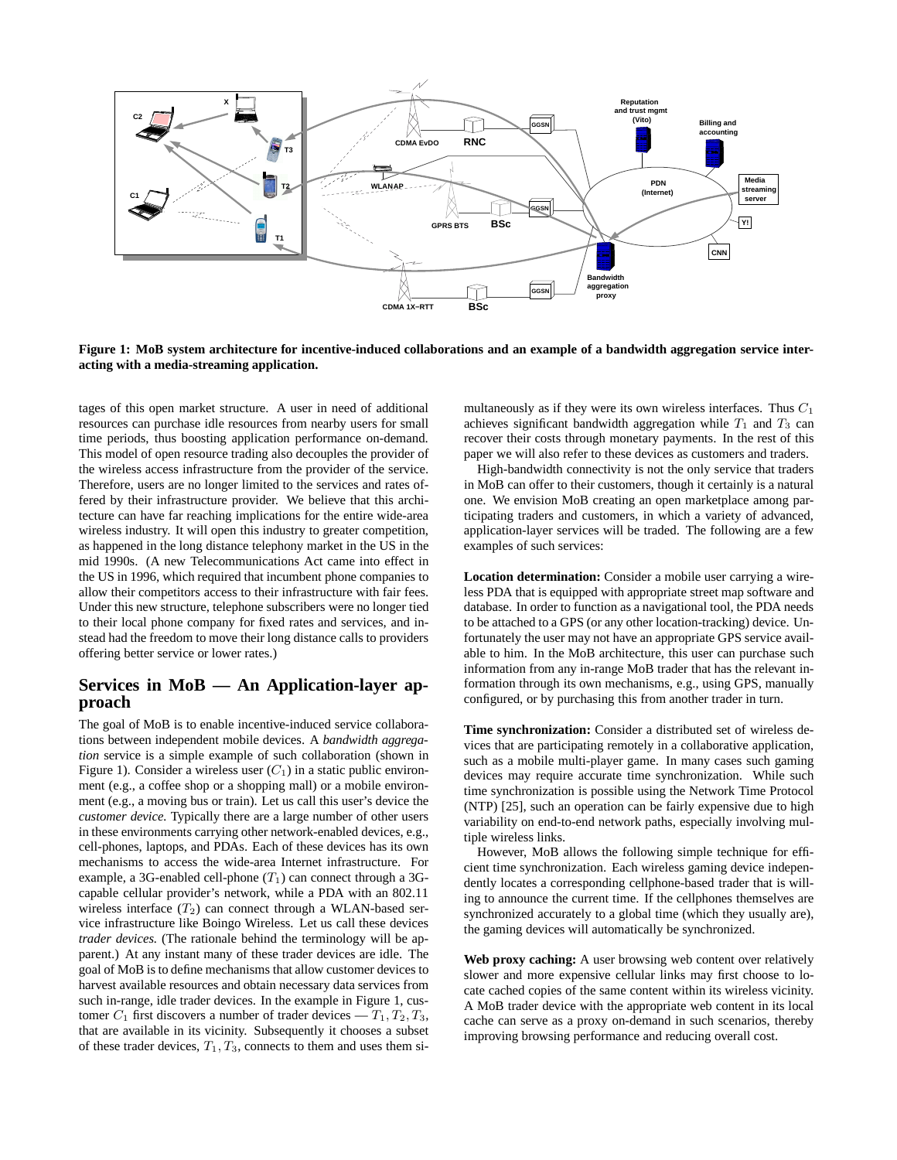

Figure 1: MoB system architecture for incentive-induced collaborations and an example of a bandwidth aggregation service inter**acting with a media-streaming application.**

tages of this open market structure. A user in need of additional resources can purchase idle resources from nearby users for small time periods, thus boosting application performance on-demand. This model of open resource trading also decouples the provider of the wireless access infrastructure from the provider of the service. Therefore, users are no longer limited to the services and rates offered by their infrastructure provider. We believe that this architecture can have far reaching implications for the entire wide-area wireless industry. It will open this industry to greater competition, as happened in the long distance telephony market in the US in the mid 1990s. (A new Telecommunications Act came into effect in the US in 1996, which required that incumbent phone companies to allow their competitors access to their infrastructure with fair fees. Under this new structure, telephone subscribers were no longer tied to their local phone company for fixed rates and services, and instead had the freedom to move their long distance calls to providers offering better service or lower rates.)

# **Services in MoB — An Application-layer approach**

The goal of MoB is to enable incentive-induced service collaborations between independent mobile devices. A *bandwidth aggregation* service is a simple example of such collaboration (shown in Figure 1). Consider a wireless user  $(C_1)$  in a static public environment (e.g., a coffee shop or a shopping mall) or a mobile environment (e.g., a moving bus or train). Let us call this user's device the *customer device.* Typically there are a large number of other users in these environments carrying other network-enabled devices, e.g., cell-phones, laptops, and PDAs. Each of these devices has its own mechanisms to access the wide-area Internet infrastructure. For example, a 3G-enabled cell-phone  $(T_1)$  can connect through a 3Gcapable cellular provider's network, while a PDA with an 802.11 wireless interface  $(T_2)$  can connect through a WLAN-based service infrastructure like Boingo Wireless. Let us call these devices *trader devices.* (The rationale behind the terminology will be apparent.) At any instant many of these trader devices are idle. The goal of MoB isto define mechanisms that allow customer devices to harvest available resources and obtain necessary data services from such in-range, idle trader devices. In the example in Figure 1, customer  $C_1$  first discovers a number of trader devices  $-T_1, T_2, T_3$ , that are available in its vicinity. Subsequently it chooses a subset of these trader devices,  $T_1, T_3$ , connects to them and uses them simultaneously as if they were its own wireless interfaces. Thus  $C_1$ achieves significant bandwidth aggregation while  $T_1$  and  $T_3$  can recover their costs through monetary payments. In the rest of this paper we will also refer to these devices as customers and traders.

High-bandwidth connectivity is not the only service that traders in MoB can offer to their customers, though it certainly is a natural one. We envision MoB creating an open marketplace among participating traders and customers, in which a variety of advanced, application-layer services will be traded. The following are a few examples of such services:

**Location determination:** Consider a mobile user carrying a wireless PDA that is equipped with appropriate street map software and database. In order to function as a navigational tool, the PDA needs to be attached to a GPS (or any other location-tracking) device. Unfortunately the user may not have an appropriate GPS service available to him. In the MoB architecture, this user can purchase such information from any in-range MoB trader that has the relevant information through its own mechanisms, e.g., using GPS, manually configured, or by purchasing this from another trader in turn.

**Time synchronization:** Consider a distributed set of wireless devices that are participating remotely in a collaborative application, such as a mobile multi-player game. In many cases such gaming devices may require accurate time synchronization. While such time synchronization is possible using the Network Time Protocol (NTP) [25], such an operation can be fairly expensive due to high variability on end-to-end network paths, especially involving multiple wireless links.

However, MoB allows the following simple technique for efficient time synchronization. Each wireless gaming device independently locates a corresponding cellphone-based trader that is willing to announce the current time. If the cellphones themselves are synchronized accurately to a global time (which they usually are), the gaming devices will automatically be synchronized.

**Web proxy caching:** A user browsing web content over relatively slower and more expensive cellular links may first choose to locate cached copies of the same content within its wireless vicinity. A MoB trader device with the appropriate web content in its local cache can serve as a proxy on-demand in such scenarios, thereby improving browsing performance and reducing overall cost.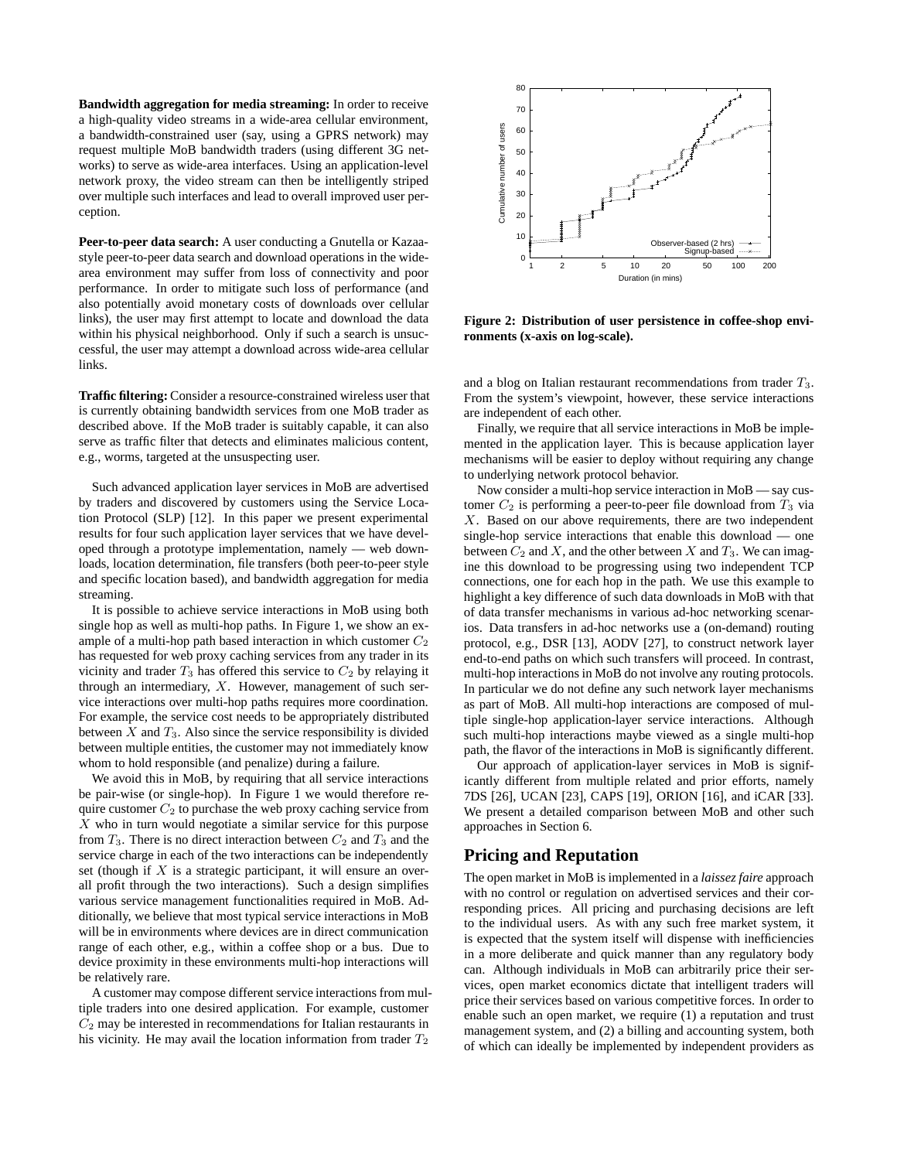**Bandwidth aggregation for media streaming:** In order to receive a high-quality video streams in a wide-area cellular environment, a bandwidth-constrained user (say, using a GPRS network) may request multiple MoB bandwidth traders (using different 3G networks) to serve as wide-area interfaces. Using an application-level network proxy, the video stream can then be intelligently striped over multiple such interfaces and lead to overall improved user perception.

**Peer-to-peer data search:** A user conducting a Gnutella or Kazaastyle peer-to-peer data search and download operations in the widearea environment may suffer from loss of connectivity and poor performance. In order to mitigate such loss of performance (and also potentially avoid monetary costs of downloads over cellular links), the user may first attempt to locate and download the data within his physical neighborhood. Only if such a search is unsuccessful, the user may attempt a download across wide-area cellular links.

**Traffic filtering:** Consider a resource-constrained wireless user that is currently obtaining bandwidth services from one MoB trader as described above. If the MoB trader is suitably capable, it can also serve as traffic filter that detects and eliminates malicious content, e.g., worms, targeted at the unsuspecting user.

Such advanced application layer services in MoB are advertised by traders and discovered by customers using the Service Location Protocol (SLP) [12]. In this paper we present experimental results for four such application layer services that we have developed through a prototype implementation, namely — web downloads, location determination, file transfers (both peer-to-peer style and specific location based), and bandwidth aggregation for media streaming.

It is possible to achieve service interactions in MoB using both single hop as well as multi-hop paths. In Figure 1, we show an example of a multi-hop path based interaction in which customer  $C_2$ has requested for web proxy caching services from any trader in its vicinity and trader  $T_3$  has offered this service to  $C_2$  by relaying it through an intermediary,  $X$ . However, management of such service interactions over multi-hop paths requires more coordination. For example, the service cost needs to be appropriately distributed between  $X$  and  $T_3$ . Also since the service responsibility is divided between multiple entities, the customer may not immediately know whom to hold responsible (and penalize) during a failure.

We avoid this in MoB, by requiring that all service interactions be pair-wise (or single-hop). In Figure 1 we would therefore require customer  $C_2$  to purchase the web proxy caching service from  $X$  who in turn would negotiate a similar service for this purpose from  $T_3$ . There is no direct interaction between  $C_2$  and  $T_3$  and the service charge in each of the two interactions can be independently set (though if  $X$  is a strategic participant, it will ensure an overall profit through the two interactions). Such a design simplifies various service management functionalities required in MoB. Additionally, we believe that most typical service interactions in MoB will be in environments where devices are in direct communication range of each other, e.g., within a coffee shop or a bus. Due to device proximity in these environments multi-hop interactions will be relatively rare.

A customer may compose different service interactions from multiple traders into one desired application. For example, customer  $C_2$  may be interested in recommendations for Italian restaurants in his vicinity. He may avail the location information from trader  $T_2$ 



**Figure 2: Distribution of user persistence in coffee-shop environments (x-axis on log-scale).**

and a blog on Italian restaurant recommendations from trader  $T_3$ . From the system's viewpoint, however, these service interactions are independent of each other.

Finally, we require that all service interactions in MoB be implemented in the application layer. This is because application layer mechanisms will be easier to deploy without requiring any change to underlying network protocol behavior.

Now consider a multi-hop service interaction in MoB — say customer  $C_2$  is performing a peer-to-peer file download from  $T_3$  via X. Based on our above requirements, there are two independent single-hop service interactions that enable this download — one between  $C_2$  and X, and the other between X and  $T_3$ . We can imagine this download to be progressing using two independent TCP connections, one for each hop in the path. We use this example to highlight a key difference of such data downloads in MoB with that of data transfer mechanisms in various ad-hoc networking scenarios. Data transfers in ad-hoc networks use a (on-demand) routing protocol, e.g., DSR [13], AODV [27], to construct network layer end-to-end paths on which such transfers will proceed. In contrast, multi-hop interactions in MoB do not involve any routing protocols. In particular we do not define any such network layer mechanisms as part of MoB. All multi-hop interactions are composed of multiple single-hop application-layer service interactions. Although such multi-hop interactions maybe viewed as a single multi-hop path, the flavor of the interactions in MoB is significantly different.

Our approach of application-layer services in MoB is significantly different from multiple related and prior efforts, namely 7DS [26], UCAN [23], CAPS [19], ORION [16], and iCAR [33]. We present a detailed comparison between MoB and other such approaches in Section 6.

#### **Pricing and Reputation**

The open market in MoB is implemented in a *laissez faire* approach with no control or regulation on advertised services and their corresponding prices. All pricing and purchasing decisions are left to the individual users. As with any such free market system, it is expected that the system itself will dispense with inefficiencies in a more deliberate and quick manner than any regulatory body can. Although individuals in MoB can arbitrarily price their services, open market economics dictate that intelligent traders will price their services based on various competitive forces. In order to enable such an open market, we require (1) a reputation and trust management system, and (2) a billing and accounting system, both of which can ideally be implemented by independent providers as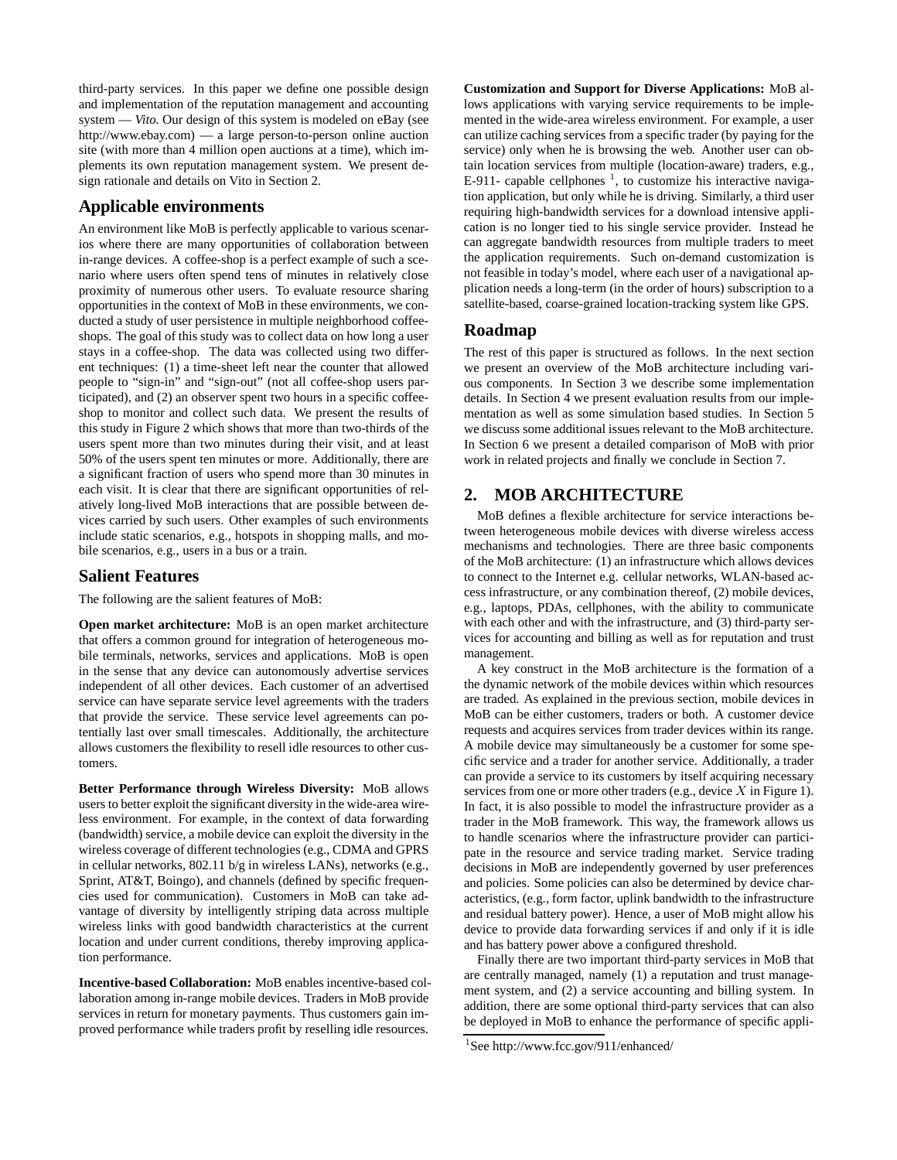third-party services. In this paper we define one possible design and implementation of the reputation management and accounting system — *Vito*. Our design of this system is modeled on eBay (see http://www.ebay.com) — a large person-to-person online auction site (with more than 4 million open auctions at a time), which implements its own reputation management system. We present design rationale and details on Vito in Section 2.

# **Applicable environments**

An environment like MoB is perfectly applicable to various scenarios where there are many opportunities of collaboration between in-range devices. A coffee-shop is a perfect example of such a scenario where users often spend tens of minutes in relatively close proximity of numerous other users. To evaluate resource sharing opportunities in the context of MoB in these environments, we conducted a study of user persistence in multiple neighborhood coffeeshops. The goal of this study was to collect data on how long a user stays in a coffee-shop. The data was collected using two different techniques: (1) a time-sheet left near the counter that allowed people to "sign-in" and "sign-out" (not all coffee-shop users participated), and (2) an observer spent two hours in a specific coffeeshop to monitor and collect such data. We present the results of this study in Figure 2 which shows that more than two-thirds of the users spent more than two minutes during their visit, and at least 50% of the users spent ten minutes or more. Additionally, there are a significant fraction of users who spend more than 30 minutes in each visit. It is clear that there are significant opportunities of relatively long-lived MoB interactions that are possible between devices carried by such users. Other examples of such environments include static scenarios, e.g., hotspots in shopping malls, and mobile scenarios, e.g., users in a bus or a train.

### **Salient Features**

The following are the salient features of MoB:

**Open market architecture:** MoB is an open market architecture that offers a common ground for integration of heterogeneous mobile terminals, networks, services and applications. MoB is open in the sense that any device can autonomously advertise services independent of all other devices. Each customer of an advertised service can have separate service level agreements with the traders that provide the service. These service level agreements can potentially last over small timescales. Additionally, the architecture allows customers the flexibility to resell idle resources to other customers.

**Better Performance through Wireless Diversity:** MoB allows users to better exploit the significant diversity in the wide-area wireless environment. For example, in the context of data forwarding (bandwidth) service, a mobile device can exploit the diversity in the wireless coverage of different technologies (e.g., CDMA and GPRS in cellular networks, 802.11 b/g in wireless LANs), networks (e.g., Sprint, AT&T, Boingo), and channels (defined by specific frequencies used for communication). Customers in MoB can take advantage of diversity by intelligently striping data across multiple wireless links with good bandwidth characteristics at the current location and under current conditions, thereby improving application performance.

**Incentive-based Collaboration:** MoB enables incentive-based collaboration among in-range mobile devices. Traders in MoB provide services in return for monetary payments. Thus customers gain improved performance while traders profit by reselling idle resources.

**Customization and Support for Diverse Applications:** MoB allows applications with varying service requirements to be implemented in the wide-area wireless environment. For example, a user can utilize caching services from a specific trader (by paying for the service) only when he is browsing the web. Another user can obtain location services from multiple (location-aware) traders, e.g., E-911- capable cellphones  $<sup>1</sup>$ , to customize his interactive naviga-</sup> tion application, but only while he is driving. Similarly, a third user requiring high-bandwidth services for a download intensive application is no longer tied to his single service provider. Instead he can aggregate bandwidth resources from multiple traders to meet the application requirements. Such on-demand customization is not feasible in today's model, where each user of a navigational application needs a long-term (in the order of hours) subscription to a satellite-based, coarse-grained location-tracking system like GPS.

### **Roadmap**

The rest of this paper is structured as follows. In the next section we present an overview of the MoB architecture including various components. In Section 3 we describe some implementation details. In Section 4 we present evaluation results from our implementation as well as some simulation based studies. In Section 5 we discuss some additional issues relevant to the MoB architecture. In Section 6 we present a detailed comparison of MoB with prior work in related projects and finally we conclude in Section 7.

# **2. MOB ARCHITECTURE**

MoB defines a flexible architecture for service interactions between heterogeneous mobile devices with diverse wireless access mechanisms and technologies. There are three basic components of the MoB architecture: (1) an infrastructure which allows devices to connect to the Internet e.g. cellular networks, WLAN-based access infrastructure, or any combination thereof, (2) mobile devices, e.g., laptops, PDAs, cellphones, with the ability to communicate with each other and with the infrastructure, and (3) third-party services for accounting and billing as well as for reputation and trust management.

A key construct in the MoB architecture is the formation of a the dynamic network of the mobile devices within which resources are traded. As explained in the previous section, mobile devices in MoB can be either customers, traders or both. A customer device requests and acquires services from trader devices within its range. A mobile device may simultaneously be a customer for some specific service and a trader for another service. Additionally, a trader can provide a service to its customers by itself acquiring necessary services from one or more other traders (e.g., device  $X$  in Figure 1). In fact, it is also possible to model the infrastructure provider as a trader in the MoB framework. This way, the framework allows us to handle scenarios where the infrastructure provider can participate in the resource and service trading market. Service trading decisions in MoB are independently governed by user preferences and policies. Some policies can also be determined by device characteristics, (e.g., form factor, uplink bandwidth to the infrastructure and residual battery power). Hence, a user of MoB might allow his device to provide data forwarding services if and only if it is idle and has battery power above a configured threshold.

Finally there are two important third-party services in MoB that are centrally managed, namely (1) a reputation and trust management system, and (2) a service accounting and billing system. In addition, there are some optional third-party services that can also be deployed in MoB to enhance the performance of specific appli-

<sup>1</sup> See http://www.fcc.gov/911/enhanced/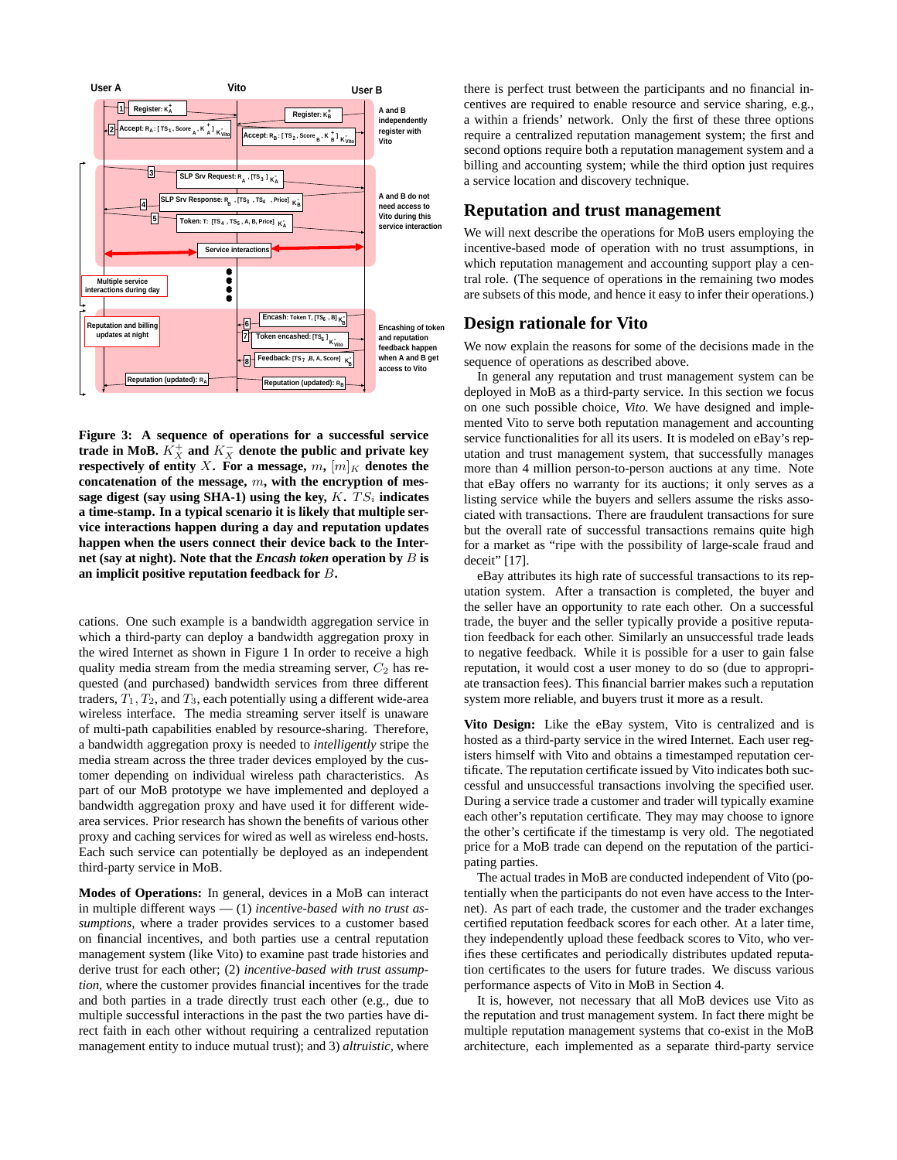

**Figure 3: A sequence of operations for a successful service trade** in MoB.  $K_X^{\pm}$  and  $K_X^-$  denote the public and private key **respectively** of entity X. For a message,  $m$ ,  $[m]_K$  denotes the **concatenation of the message,** m**, with the encryption of message digest** (say **using SHA-1**) **using** the key,  $K$ .  $TS_i$  **indicates a time-stamp. In a typical scenario it is likely that multiple service interactions happen during a day and reputation updates happen when the users connect their device back to the Internet (say at night). Note that the** *Encash token* **operation by** B **is an implicit positive reputation feedback for** B**.**

cations. One such example is a bandwidth aggregation service in which a third-party can deploy a bandwidth aggregation proxy in the wired Internet as shown in Figure 1 In order to receive a high quality media stream from the media streaming server,  $C_2$  has requested (and purchased) bandwidth services from three different traders,  $T_1, T_2$ , and  $T_3$ , each potentially using a different wide-area wireless interface. The media streaming server itself is unaware of multi-path capabilities enabled by resource-sharing. Therefore, a bandwidth aggregation proxy is needed to *intelligently* stripe the media stream across the three trader devices employed by the customer depending on individual wireless path characteristics. As part of our MoB prototype we have implemented and deployed a bandwidth aggregation proxy and have used it for different widearea services. Prior research has shown the benefits of various other proxy and caching services for wired as well as wireless end-hosts. Each such service can potentially be deployed as an independent third-party service in MoB.

**Modes of Operations:** In general, devices in a MoB can interact in multiple different ways — (1) *incentive-based with no trust assumptions,* where a trader provides services to a customer based on financial incentives, and both parties use a central reputation management system (like Vito) to examine past trade histories and derive trust for each other; (2) *incentive-based with trust assumption,* where the customer provides financial incentives for the trade and both parties in a trade directly trust each other (e.g., due to multiple successful interactions in the past the two parties have direct faith in each other without requiring a centralized reputation management entity to induce mutual trust); and 3) *altruistic,* where there is perfect trust between the participants and no financial incentives are required to enable resource and service sharing, e.g., a within a friends' network. Only the first of these three options require a centralized reputation management system; the first and second options require both a reputation management system and a billing and accounting system; while the third option just requires a service location and discovery technique.

#### **Reputation and trust management**

We will next describe the operations for MoB users employing the incentive-based mode of operation with no trust assumptions, in which reputation management and accounting support play a central role. (The sequence of operations in the remaining two modes are subsets of this mode, and hence it easy to infer their operations.)

#### **Design rationale for Vito**

We now explain the reasons for some of the decisions made in the sequence of operations as described above.

In general any reputation and trust management system can be deployed in MoB as a third-party service. In this section we focus on one such possible choice, *Vito.* We have designed and implemented Vito to serve both reputation management and accounting service functionalities for all its users. It is modeled on eBay's reputation and trust management system, that successfully manages more than 4 million person-to-person auctions at any time. Note that eBay offers no warranty for its auctions; it only serves as a listing service while the buyers and sellers assume the risks associated with transactions. There are fraudulent transactions for sure but the overall rate of successful transactions remains quite high for a market as "ripe with the possibility of large-scale fraud and deceit" [17].

eBay attributes its high rate of successful transactions to its reputation system. After a transaction is completed, the buyer and the seller have an opportunity to rate each other. On a successful trade, the buyer and the seller typically provide a positive reputation feedback for each other. Similarly an unsuccessful trade leads to negative feedback. While it is possible for a user to gain false reputation, it would cost a user money to do so (due to appropriate transaction fees). This financial barrier makes such a reputation system more reliable, and buyers trust it more as a result.

**Vito Design:** Like the eBay system, Vito is centralized and is hosted as a third-party service in the wired Internet. Each user registers himself with Vito and obtains a timestamped reputation certificate. The reputation certificate issued by Vito indicates both successful and unsuccessful transactions involving the specified user. During a service trade a customer and trader will typically examine each other's reputation certificate. They may may choose to ignore the other's certificate if the timestamp is very old. The negotiated price for a MoB trade can depend on the reputation of the participating parties.

The actual trades in MoB are conducted independent of Vito (potentially when the participants do not even have access to the Internet). As part of each trade, the customer and the trader exchanges certified reputation feedback scores for each other. At a later time, they independently upload these feedback scores to Vito, who verifies these certificates and periodically distributes updated reputation certificates to the users for future trades. We discuss various performance aspects of Vito in MoB in Section 4.

It is, however, not necessary that all MoB devices use Vito as the reputation and trust management system. In fact there might be multiple reputation management systems that co-exist in the MoB architecture, each implemented as a separate third-party service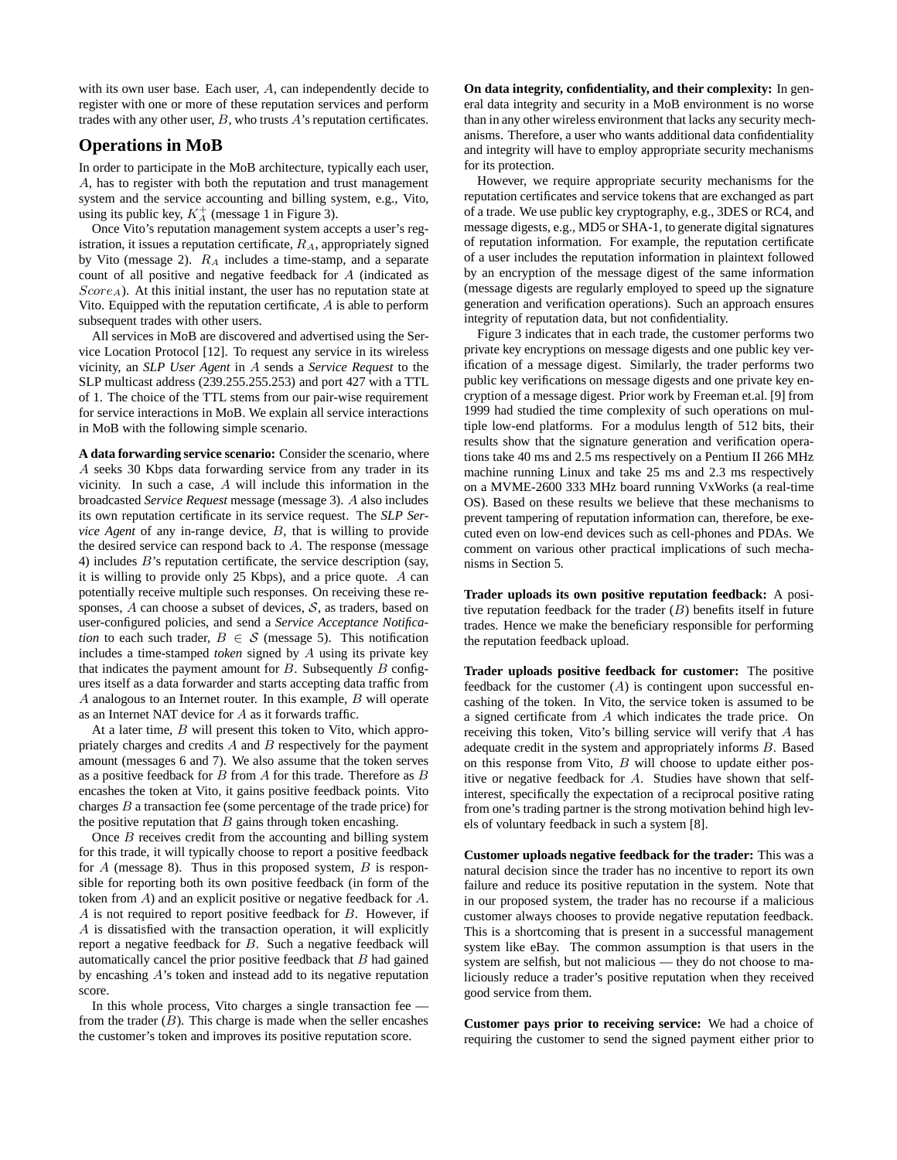with its own user base. Each user, A, can independently decide to register with one or more of these reputation services and perform trades with any other user,  $B$ , who trusts  $A$ 's reputation certificates.

## **Operations in MoB**

In order to participate in the MoB architecture, typically each user, A, has to register with both the reputation and trust management system and the service accounting and billing system, e.g., Vito, using its public key,  $K_A^+$  (message 1 in Figure 3).

Once Vito's reputation management system accepts a user's registration, it issues a reputation certificate,  $R_A$ , appropriately signed by Vito (message 2).  $R_A$  includes a time-stamp, and a separate count of all positive and negative feedback for A (indicated as  $Score_A$ ). At this initial instant, the user has no reputation state at Vito. Equipped with the reputation certificate, A is able to perform subsequent trades with other users.

All services in MoB are discovered and advertised using the Service Location Protocol [12]. To request any service in its wireless vicinity, an *SLP User Agent* in A sends a *Service Request* to the SLP multicast address (239.255.255.253) and port 427 with a TTL of 1. The choice of the TTL stems from our pair-wise requirement for service interactions in MoB. We explain all service interactions in MoB with the following simple scenario.

**A data forwarding service scenario:** Consider the scenario, where A seeks 30 Kbps data forwarding service from any trader in its vicinity. In such a case, A will include this information in the broadcasted *Service Request* message (message 3). A also includes its own reputation certificate in its service request. The *SLP Service Agent* of any in-range device, B, that is willing to provide the desired service can respond back to  $A$ . The response (message 4) includes  $B$ 's reputation certificate, the service description (say, it is willing to provide only 25 Kbps), and a price quote. A can potentially receive multiple such responses. On receiving these responses,  $A$  can choose a subset of devices,  $S$ , as traders, based on user-configured policies, and send a *Service Acceptance Notification* to each such trader,  $B \in S$  (message 5). This notification includes a time-stamped *token* signed by A using its private key that indicates the payment amount for  $B$ . Subsequently  $B$  configures itself as a data forwarder and starts accepting data traffic from A analogous to an Internet router. In this example, B will operate as an Internet NAT device for A as it forwards traffic.

At a later time, B will present this token to Vito, which appropriately charges and credits  $A$  and  $B$  respectively for the payment amount (messages 6 and 7). We also assume that the token serves as a positive feedback for  $B$  from  $A$  for this trade. Therefore as  $B$ encashes the token at Vito, it gains positive feedback points. Vito charges B a transaction fee (some percentage of the trade price) for the positive reputation that  $B$  gains through token encashing.

Once  $B$  receives credit from the accounting and billing system for this trade, it will typically choose to report a positive feedback for  $A$  (message 8). Thus in this proposed system,  $B$  is responsible for reporting both its own positive feedback (in form of the token from A) and an explicit positive or negative feedback for A.  $A$  is not required to report positive feedback for  $B$ . However, if A is dissatisfied with the transaction operation, it will explicitly report a negative feedback for B. Such a negative feedback will automatically cancel the prior positive feedback that  $B$  had gained by encashing A's token and instead add to its negative reputation score.

In this whole process, Vito charges a single transaction fee from the trader  $(B)$ . This charge is made when the seller encashes the customer's token and improves its positive reputation score.

**On data integrity, confidentiality, and their complexity:** In general data integrity and security in a MoB environment is no worse than in any other wireless environment that lacks any security mechanisms. Therefore, a user who wants additional data confidentiality and integrity will have to employ appropriate security mechanisms for its protection.

However, we require appropriate security mechanisms for the reputation certificates and service tokens that are exchanged as part of a trade. We use public key cryptography, e.g., 3DES or RC4, and message digests, e.g., MD5 or SHA-1, to generate digital signatures of reputation information. For example, the reputation certificate of a user includes the reputation information in plaintext followed by an encryption of the message digest of the same information (message digests are regularly employed to speed up the signature generation and verification operations). Such an approach ensures integrity of reputation data, but not confidentiality.

Figure 3 indicates that in each trade, the customer performs two private key encryptions on message digests and one public key verification of a message digest. Similarly, the trader performs two public key verifications on message digests and one private key encryption of a message digest. Prior work by Freeman et.al. [9] from 1999 had studied the time complexity of such operations on multiple low-end platforms. For a modulus length of 512 bits, their results show that the signature generation and verification operations take 40 ms and 2.5 ms respectively on a Pentium II 266 MHz machine running Linux and take 25 ms and 2.3 ms respectively on a MVME-2600 333 MHz board running VxWorks (a real-time OS). Based on these results we believe that these mechanisms to prevent tampering of reputation information can, therefore, be executed even on low-end devices such as cell-phones and PDAs. We comment on various other practical implications of such mechanisms in Section 5.

**Trader uploads its own positive reputation feedback:** A positive reputation feedback for the trader  $(B)$  benefits itself in future trades. Hence we make the beneficiary responsible for performing the reputation feedback upload.

**Trader uploads positive feedback for customer:** The positive feedback for the customer  $(A)$  is contingent upon successful encashing of the token. In Vito, the service token is assumed to be a signed certificate from A which indicates the trade price. On receiving this token, Vito's billing service will verify that A has adequate credit in the system and appropriately informs B. Based on this response from Vito,  $B$  will choose to update either positive or negative feedback for A. Studies have shown that selfinterest, specifically the expectation of a reciprocal positive rating from one's trading partner is the strong motivation behind high levels of voluntary feedback in such a system [8].

**Customer uploads negative feedback for the trader:** This was a natural decision since the trader has no incentive to report its own failure and reduce its positive reputation in the system. Note that in our proposed system, the trader has no recourse if a malicious customer always chooses to provide negative reputation feedback. This is a shortcoming that is present in a successful management system like eBay. The common assumption is that users in the system are selfish, but not malicious — they do not choose to maliciously reduce a trader's positive reputation when they received good service from them.

**Customer pays prior to receiving service:** We had a choice of requiring the customer to send the signed payment either prior to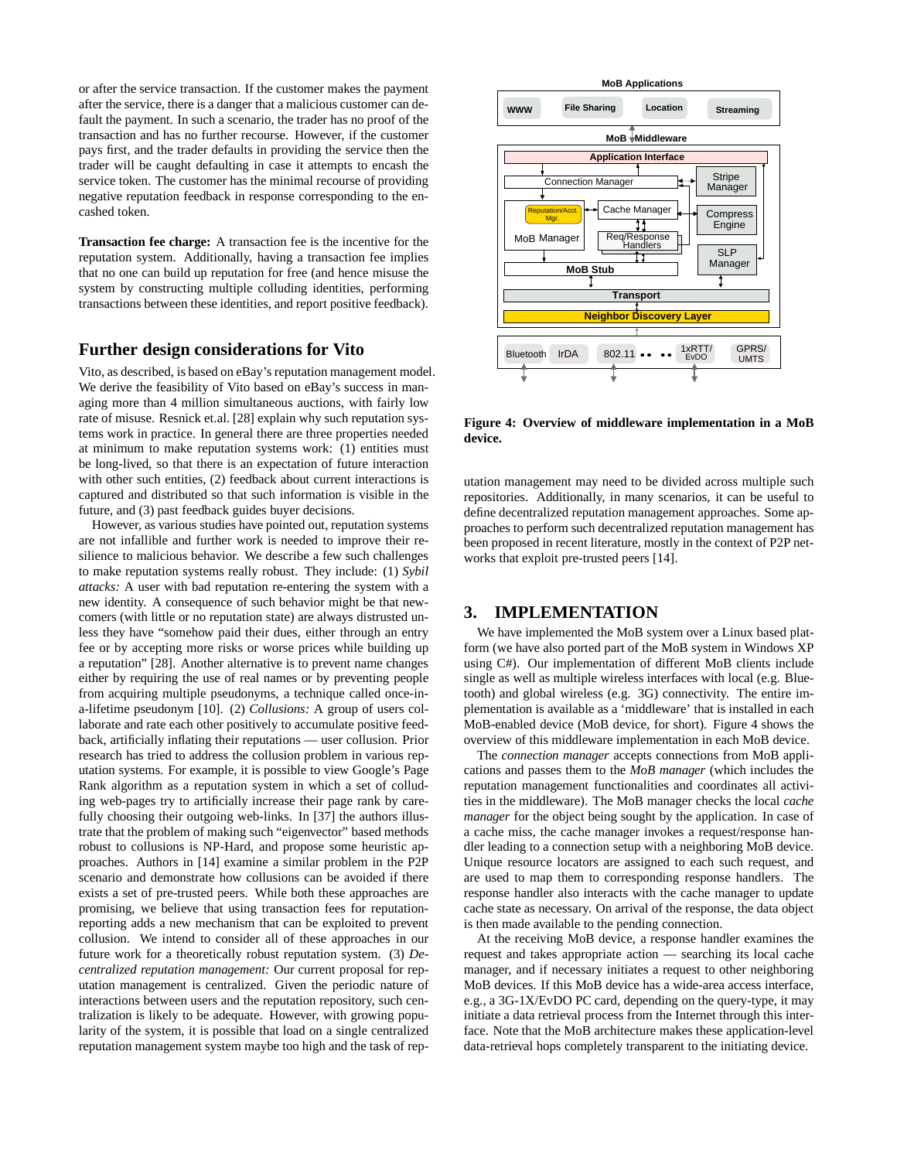or after the service transaction. If the customer makes the payment after the service, there is a danger that a malicious customer can default the payment. In such a scenario, the trader has no proof of the transaction and has no further recourse. However, if the customer pays first, and the trader defaults in providing the service then the trader will be caught defaulting in case it attempts to encash the service token. The customer has the minimal recourse of providing negative reputation feedback in response corresponding to the encashed token.

**Transaction fee charge:** A transaction fee is the incentive for the reputation system. Additionally, having a transaction fee implies that no one can build up reputation for free (and hence misuse the system by constructing multiple colluding identities, performing transactions between these identities, and report positive feedback).

#### **Further design considerations for Vito**

Vito, as described, is based on eBay's reputation management model. We derive the feasibility of Vito based on eBay's success in managing more than 4 million simultaneous auctions, with fairly low rate of misuse. Resnick et.al. [28] explain why such reputation systems work in practice. In general there are three properties needed at minimum to make reputation systems work: (1) entities must be long-lived, so that there is an expectation of future interaction with other such entities, (2) feedback about current interactions is captured and distributed so that such information is visible in the future, and (3) past feedback guides buyer decisions.

However, as various studies have pointed out, reputation systems are not infallible and further work is needed to improve their resilience to malicious behavior. We describe a few such challenges to make reputation systems really robust. They include: (1) *Sybil attacks:* A user with bad reputation re-entering the system with a new identity. A consequence of such behavior might be that newcomers (with little or no reputation state) are always distrusted unless they have "somehow paid their dues, either through an entry fee or by accepting more risks or worse prices while building up a reputation" [28]. Another alternative is to prevent name changes either by requiring the use of real names or by preventing people from acquiring multiple pseudonyms, a technique called once-ina-lifetime pseudonym [10]. (2) *Collusions:* A group of users collaborate and rate each other positively to accumulate positive feedback, artificially inflating their reputations — user collusion. Prior research has tried to address the collusion problem in various reputation systems. For example, it is possible to view Google's Page Rank algorithm as a reputation system in which a set of colluding web-pages try to artificially increase their page rank by carefully choosing their outgoing web-links. In [37] the authors illustrate that the problem of making such "eigenvector" based methods robust to collusions is NP-Hard, and propose some heuristic approaches. Authors in [14] examine a similar problem in the P2P scenario and demonstrate how collusions can be avoided if there exists a set of pre-trusted peers. While both these approaches are promising, we believe that using transaction fees for reputationreporting adds a new mechanism that can be exploited to prevent collusion. We intend to consider all of these approaches in our future work for a theoretically robust reputation system. (3) *Decentralized reputation management:* Our current proposal for reputation management is centralized. Given the periodic nature of interactions between users and the reputation repository, such centralization is likely to be adequate. However, with growing popularity of the system, it is possible that load on a single centralized reputation management system maybe too high and the task of rep-



**Figure 4: Overview of middleware implementation in a MoB device.**

utation management may need to be divided across multiple such repositories. Additionally, in many scenarios, it can be useful to define decentralized reputation management approaches. Some approaches to perform such decentralized reputation management has been proposed in recent literature, mostly in the context of P2P networks that exploit pre-trusted peers [14].

## **3. IMPLEMENTATION**

We have implemented the MoB system over a Linux based platform (we have also ported part of the MoB system in Windows XP using C#). Our implementation of different MoB clients include single as well as multiple wireless interfaces with local (e.g. Bluetooth) and global wireless (e.g. 3G) connectivity. The entire implementation is available as a 'middleware' that is installed in each MoB-enabled device (MoB device, for short). Figure 4 shows the overview of this middleware implementation in each MoB device.

The *connection manager* accepts connections from MoB applications and passes them to the *MoB manager* (which includes the reputation management functionalities and coordinates all activities in the middleware). The MoB manager checks the local *cache manager* for the object being sought by the application. In case of a cache miss, the cache manager invokes a request/response handler leading to a connection setup with a neighboring MoB device. Unique resource locators are assigned to each such request, and are used to map them to corresponding response handlers. The response handler also interacts with the cache manager to update cache state as necessary. On arrival of the response, the data object is then made available to the pending connection.

At the receiving MoB device, a response handler examines the request and takes appropriate action — searching its local cache manager, and if necessary initiates a request to other neighboring MoB devices. If this MoB device has a wide-area access interface, e.g., a 3G-1X/EvDO PC card, depending on the query-type, it may initiate a data retrieval process from the Internet through this interface. Note that the MoB architecture makes these application-level data-retrieval hops completely transparent to the initiating device.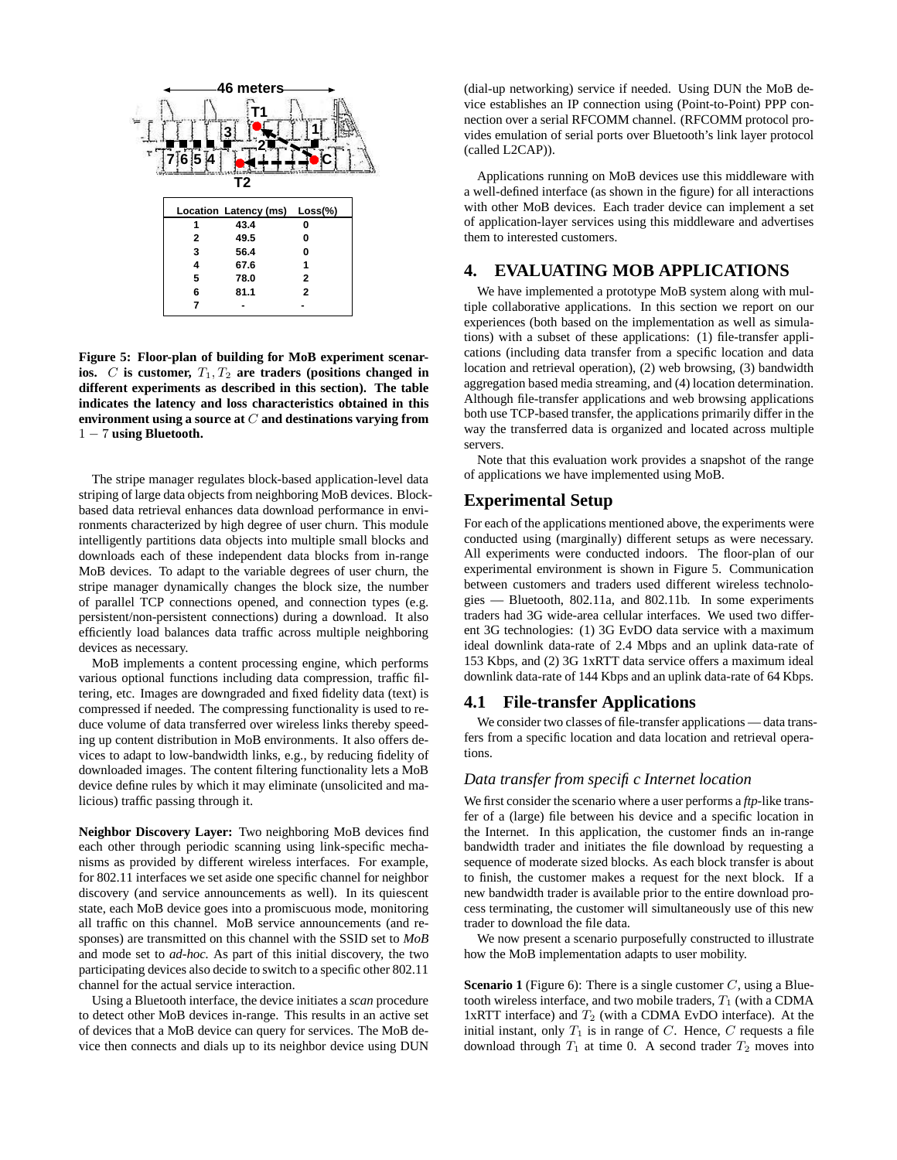

**Figure 5: Floor-plan of building for MoB experiment scenar**ios.  $C$  is customer,  $T_1, T_2$  are traders (positions changed in **different experiments as described in this section). The table indicates the latency and loss characteristics obtained in this environment using a source at** C **and destinations varying from** 1 − 7 **using Bluetooth.**

The stripe manager regulates block-based application-level data striping of large data objects from neighboring MoB devices. Blockbased data retrieval enhances data download performance in environments characterized by high degree of user churn. This module intelligently partitions data objects into multiple small blocks and downloads each of these independent data blocks from in-range MoB devices. To adapt to the variable degrees of user churn, the stripe manager dynamically changes the block size, the number of parallel TCP connections opened, and connection types (e.g. persistent/non-persistent connections) during a download. It also efficiently load balances data traffic across multiple neighboring devices as necessary.

MoB implements a content processing engine, which performs various optional functions including data compression, traffic filtering, etc. Images are downgraded and fixed fidelity data (text) is compressed if needed. The compressing functionality is used to reduce volume of data transferred over wireless links thereby speeding up content distribution in MoB environments. It also offers devices to adapt to low-bandwidth links, e.g., by reducing fidelity of downloaded images. The content filtering functionality lets a MoB device define rules by which it may eliminate (unsolicited and malicious) traffic passing through it.

**Neighbor Discovery Layer:** Two neighboring MoB devices find each other through periodic scanning using link-specific mechanisms as provided by different wireless interfaces. For example, for 802.11 interfaces we set aside one specific channel for neighbor discovery (and service announcements as well). In its quiescent state, each MoB device goes into a promiscuous mode, monitoring all traffic on this channel. MoB service announcements (and responses) are transmitted on this channel with the SSID set to *MoB* and mode set to *ad-hoc.* As part of this initial discovery, the two participating devices also decide to switch to a specific other 802.11 channel for the actual service interaction.

Using a Bluetooth interface, the device initiates a *scan* procedure to detect other MoB devices in-range. This results in an active set of devices that a MoB device can query for services. The MoB device then connects and dials up to its neighbor device using DUN (dial-up networking) service if needed. Using DUN the MoB device establishes an IP connection using (Point-to-Point) PPP connection over a serial RFCOMM channel. (RFCOMM protocol provides emulation of serial ports over Bluetooth's link layer protocol (called L2CAP)).

Applications running on MoB devices use this middleware with a well-defined interface (as shown in the figure) for all interactions with other MoB devices. Each trader device can implement a set of application-layer services using this middleware and advertises them to interested customers.

# **4. EVALUATING MOB APPLICATIONS**

We have implemented a prototype MoB system along with multiple collaborative applications. In this section we report on our experiences (both based on the implementation as well as simulations) with a subset of these applications: (1) file-transfer applications (including data transfer from a specific location and data location and retrieval operation), (2) web browsing, (3) bandwidth aggregation based media streaming, and (4) location determination. Although file-transfer applications and web browsing applications both use TCP-based transfer, the applications primarily differ in the way the transferred data is organized and located across multiple servers.

Note that this evaluation work provides a snapshot of the range of applications we have implemented using MoB.

#### **Experimental Setup**

For each of the applications mentioned above, the experiments were conducted using (marginally) different setups as were necessary. All experiments were conducted indoors. The floor-plan of our experimental environment is shown in Figure 5. Communication between customers and traders used different wireless technologies — Bluetooth, 802.11a, and 802.11b. In some experiments traders had 3G wide-area cellular interfaces. We used two different 3G technologies: (1) 3G EvDO data service with a maximum ideal downlink data-rate of 2.4 Mbps and an uplink data-rate of 153 Kbps, and (2) 3G 1xRTT data service offers a maximum ideal downlink data-rate of 144 Kbps and an uplink data-rate of 64 Kbps.

#### **4.1 File-transfer Applications**

We consider two classes of file-transfer applications — data transfers from a specific location and data location and retrieval operations.

#### *Data transfer from specific Internet location*

We first consider the scenario where a user performs a *ftp*-like transfer of a (large) file between his device and a specific location in the Internet. In this application, the customer finds an in-range bandwidth trader and initiates the file download by requesting a sequence of moderate sized blocks. As each block transfer is about to finish, the customer makes a request for the next block. If a new bandwidth trader is available prior to the entire download process terminating, the customer will simultaneously use of this new trader to download the file data.

We now present a scenario purposefully constructed to illustrate how the MoB implementation adapts to user mobility.

**Scenario** 1 (Figure 6): There is a single customer  $C$ , using a Bluetooth wireless interface, and two mobile traders,  $T_1$  (with a CDMA 1xRTT interface) and  $T_2$  (with a CDMA EvDO interface). At the initial instant, only  $T_1$  is in range of  $C$ . Hence,  $C$  requests a file download through  $T_1$  at time 0. A second trader  $T_2$  moves into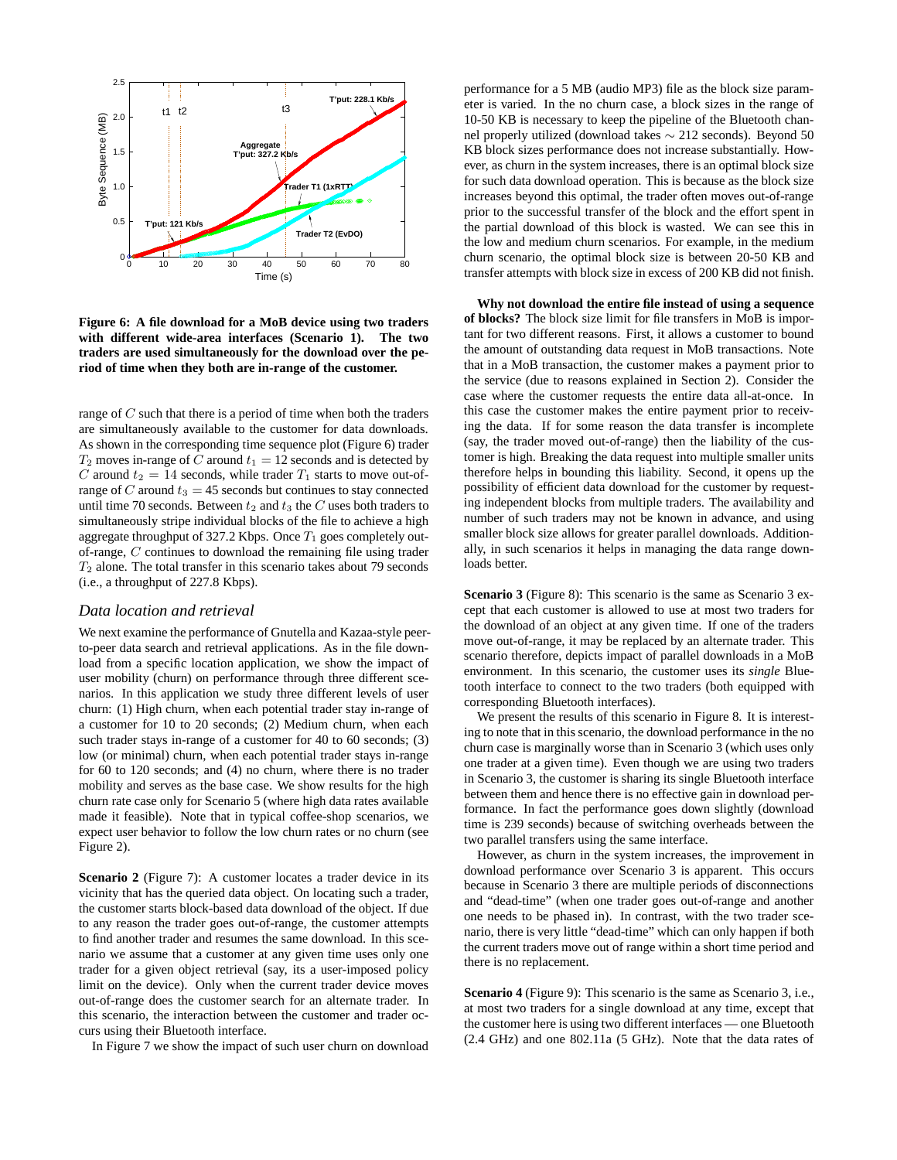

**Figure 6: A file download for a MoB device using two traders with different wide-area interfaces (Scenario 1). The two traders are used simultaneously for the download over the period of time when they both are in-range of the customer.**

range of C such that there is a period of time when both the traders are simultaneously available to the customer for data downloads. As shown in the corresponding time sequence plot (Figure 6) trader  $T_2$  moves in-range of C around  $t_1 = 12$  seconds and is detected by C around  $t_2 = 14$  seconds, while trader  $T_1$  starts to move out-ofrange of C around  $t_3 = 45$  seconds but continues to stay connected until time 70 seconds. Between  $t_2$  and  $t_3$  the C uses both traders to simultaneously stripe individual blocks of the file to achieve a high aggregate throughput of 327.2 Kbps. Once  $T_1$  goes completely outof-range, C continues to download the remaining file using trader  $T_2$  alone. The total transfer in this scenario takes about 79 seconds (i.e., a throughput of 227.8 Kbps).

#### *Data location and retrieval*

We next examine the performance of Gnutella and Kazaa-style peerto-peer data search and retrieval applications. As in the file download from a specific location application, we show the impact of user mobility (churn) on performance through three different scenarios. In this application we study three different levels of user churn: (1) High churn, when each potential trader stay in-range of a customer for 10 to 20 seconds; (2) Medium churn, when each such trader stays in-range of a customer for 40 to 60 seconds; (3) low (or minimal) churn, when each potential trader stays in-range for 60 to 120 seconds; and (4) no churn, where there is no trader mobility and serves as the base case. We show results for the high churn rate case only for Scenario 5 (where high data rates available made it feasible). Note that in typical coffee-shop scenarios, we expect user behavior to follow the low churn rates or no churn (see Figure 2).

**Scenario** 2 (Figure 7): A customer locates a trader device in its vicinity that has the queried data object. On locating such a trader, the customer starts block-based data download of the object. If due to any reason the trader goes out-of-range, the customer attempts to find another trader and resumes the same download. In this scenario we assume that a customer at any given time uses only one trader for a given object retrieval (say, its a user-imposed policy limit on the device). Only when the current trader device moves out-of-range does the customer search for an alternate trader. In this scenario, the interaction between the customer and trader occurs using their Bluetooth interface.

In Figure 7 we show the impact of such user churn on download

performance for a 5 MB (audio MP3) file as the block size parameter is varied. In the no churn case, a block sizes in the range of 10-50 KB is necessary to keep the pipeline of the Bluetooth channel properly utilized (download takes ∼ 212 seconds). Beyond 50 KB block sizes performance does not increase substantially. However, as churn in the system increases, there is an optimal block size for such data download operation. This is because as the block size increases beyond this optimal, the trader often moves out-of-range prior to the successful transfer of the block and the effort spent in the partial download of this block is wasted. We can see this in the low and medium churn scenarios. For example, in the medium churn scenario, the optimal block size is between 20-50 KB and transfer attempts with block size in excess of 200 KB did not finish.

**Why not download the entire file instead of using a sequence of blocks?** The block size limit for file transfers in MoB is important for two different reasons. First, it allows a customer to bound the amount of outstanding data request in MoB transactions. Note that in a MoB transaction, the customer makes a payment prior to the service (due to reasons explained in Section 2). Consider the case where the customer requests the entire data all-at-once. In this case the customer makes the entire payment prior to receiving the data. If for some reason the data transfer is incomplete (say, the trader moved out-of-range) then the liability of the customer is high. Breaking the data request into multiple smaller units therefore helps in bounding this liability. Second, it opens up the possibility of efficient data download for the customer by requesting independent blocks from multiple traders. The availability and number of such traders may not be known in advance, and using smaller block size allows for greater parallel downloads. Additionally, in such scenarios it helps in managing the data range downloads better.

**Scenario 3** (Figure 8): This scenario is the same as Scenario 3 except that each customer is allowed to use at most two traders for the download of an object at any given time. If one of the traders move out-of-range, it may be replaced by an alternate trader. This scenario therefore, depicts impact of parallel downloads in a MoB environment. In this scenario, the customer uses its *single* Bluetooth interface to connect to the two traders (both equipped with corresponding Bluetooth interfaces).

We present the results of this scenario in Figure 8. It is interesting to note that in this scenario, the download performance in the no churn case is marginally worse than in Scenario 3 (which uses only one trader at a given time). Even though we are using two traders in Scenario 3, the customer is sharing its single Bluetooth interface between them and hence there is no effective gain in download performance. In fact the performance goes down slightly (download time is 239 seconds) because of switching overheads between the two parallel transfers using the same interface.

However, as churn in the system increases, the improvement in download performance over Scenario 3 is apparent. This occurs because in Scenario 3 there are multiple periods of disconnections and "dead-time" (when one trader goes out-of-range and another one needs to be phased in). In contrast, with the two trader scenario, there is very little "dead-time" which can only happen if both the current traders move out of range within a short time period and there is no replacement.

**Scenario 4** (Figure 9): This scenario is the same as Scenario 3, i.e., at most two traders for a single download at any time, except that the customer here is using two different interfaces — one Bluetooth (2.4 GHz) and one 802.11a (5 GHz). Note that the data rates of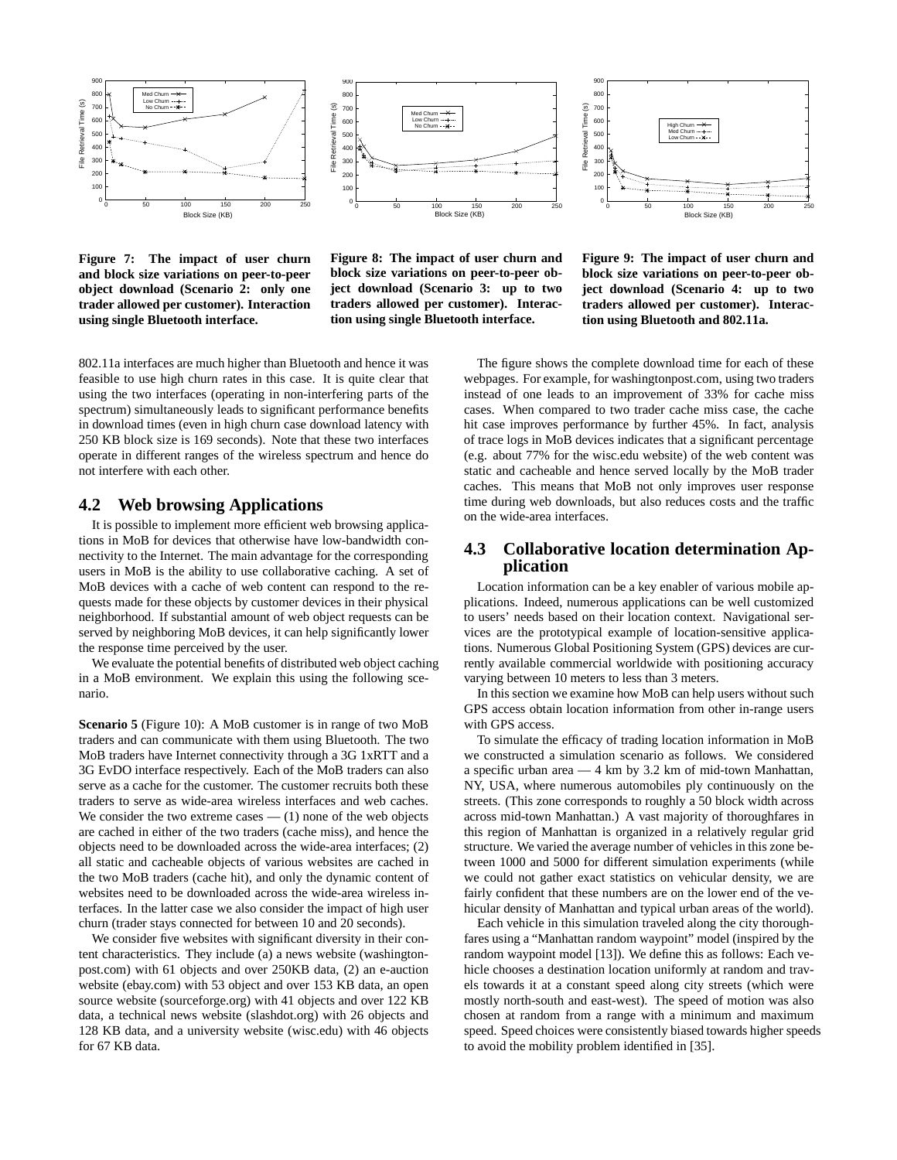

**Figure 7: The impact of user churn and block size variations on peer-to-peer object download (Scenario 2: only one trader allowed per customer). Interaction using single Bluetooth interface.**



**Figure 8: The impact of user churn and block size variations on peer-to-peer object download (Scenario 3: up to two traders allowed per customer). Interaction using single Bluetooth interface.**



**Figure 9: The impact of user churn and block size variations on peer-to-peer object download (Scenario 4: up to two traders allowed per customer). Interaction using Bluetooth and 802.11a.**

802.11a interfaces are much higher than Bluetooth and hence it was feasible to use high churn rates in this case. It is quite clear that using the two interfaces (operating in non-interfering parts of the spectrum) simultaneously leads to significant performance benefits in download times (even in high churn case download latency with 250 KB block size is 169 seconds). Note that these two interfaces operate in different ranges of the wireless spectrum and hence do not interfere with each other.

#### **4.2 Web browsing Applications**

It is possible to implement more efficient web browsing applications in MoB for devices that otherwise have low-bandwidth connectivity to the Internet. The main advantage for the corresponding users in MoB is the ability to use collaborative caching. A set of MoB devices with a cache of web content can respond to the requests made for these objects by customer devices in their physical neighborhood. If substantial amount of web object requests can be served by neighboring MoB devices, it can help significantly lower the response time perceived by the user.

We evaluate the potential benefits of distributed web object caching in a MoB environment. We explain this using the following scenario.

**Scenario 5** (Figure 10): A MoB customer is in range of two MoB traders and can communicate with them using Bluetooth. The two MoB traders have Internet connectivity through a 3G 1xRTT and a 3G EvDO interface respectively. Each of the MoB traders can also serve as a cache for the customer. The customer recruits both these traders to serve as wide-area wireless interfaces and web caches. We consider the two extreme cases  $- (1)$  none of the web objects are cached in either of the two traders (cache miss), and hence the objects need to be downloaded across the wide-area interfaces; (2) all static and cacheable objects of various websites are cached in the two MoB traders (cache hit), and only the dynamic content of websites need to be downloaded across the wide-area wireless interfaces. In the latter case we also consider the impact of high user churn (trader stays connected for between 10 and 20 seconds).

We consider five websites with significant diversity in their content characteristics. They include (a) a news website (washingtonpost.com) with 61 objects and over 250KB data, (2) an e-auction website (ebay.com) with 53 object and over 153 KB data, an open source website (sourceforge.org) with 41 objects and over 122 KB data, a technical news website (slashdot.org) with 26 objects and 128 KB data, and a university website (wisc.edu) with 46 objects for 67 KB data.

The figure shows the complete download time for each of these webpages. For example, for washingtonpost.com, using two traders instead of one leads to an improvement of 33% for cache miss cases. When compared to two trader cache miss case, the cache hit case improves performance by further 45%. In fact, analysis of trace logs in MoB devices indicates that a significant percentage (e.g. about 77% for the wisc.edu website) of the web content was static and cacheable and hence served locally by the MoB trader caches. This means that MoB not only improves user response time during web downloads, but also reduces costs and the traffic on the wide-area interfaces.

## **4.3 Collaborative location determination Application**

Location information can be a key enabler of various mobile applications. Indeed, numerous applications can be well customized to users' needs based on their location context. Navigational services are the prototypical example of location-sensitive applications. Numerous Global Positioning System (GPS) devices are currently available commercial worldwide with positioning accuracy varying between 10 meters to less than 3 meters.

In this section we examine how MoB can help users without such GPS access obtain location information from other in-range users with GPS access.

To simulate the efficacy of trading location information in MoB we constructed a simulation scenario as follows. We considered a specific urban area — 4 km by 3.2 km of mid-town Manhattan, NY, USA, where numerous automobiles ply continuously on the streets. (This zone corresponds to roughly a 50 block width across across mid-town Manhattan.) A vast majority of thoroughfares in this region of Manhattan is organized in a relatively regular grid structure. We varied the average number of vehicles in this zone between 1000 and 5000 for different simulation experiments (while we could not gather exact statistics on vehicular density, we are fairly confident that these numbers are on the lower end of the vehicular density of Manhattan and typical urban areas of the world).

Each vehicle in this simulation traveled along the city thoroughfares using a "Manhattan random waypoint" model (inspired by the random waypoint model [13]). We define this as follows: Each vehicle chooses a destination location uniformly at random and travels towards it at a constant speed along city streets (which were mostly north-south and east-west). The speed of motion was also chosen at random from a range with a minimum and maximum speed. Speed choices were consistently biased towards higher speeds to avoid the mobility problem identified in [35].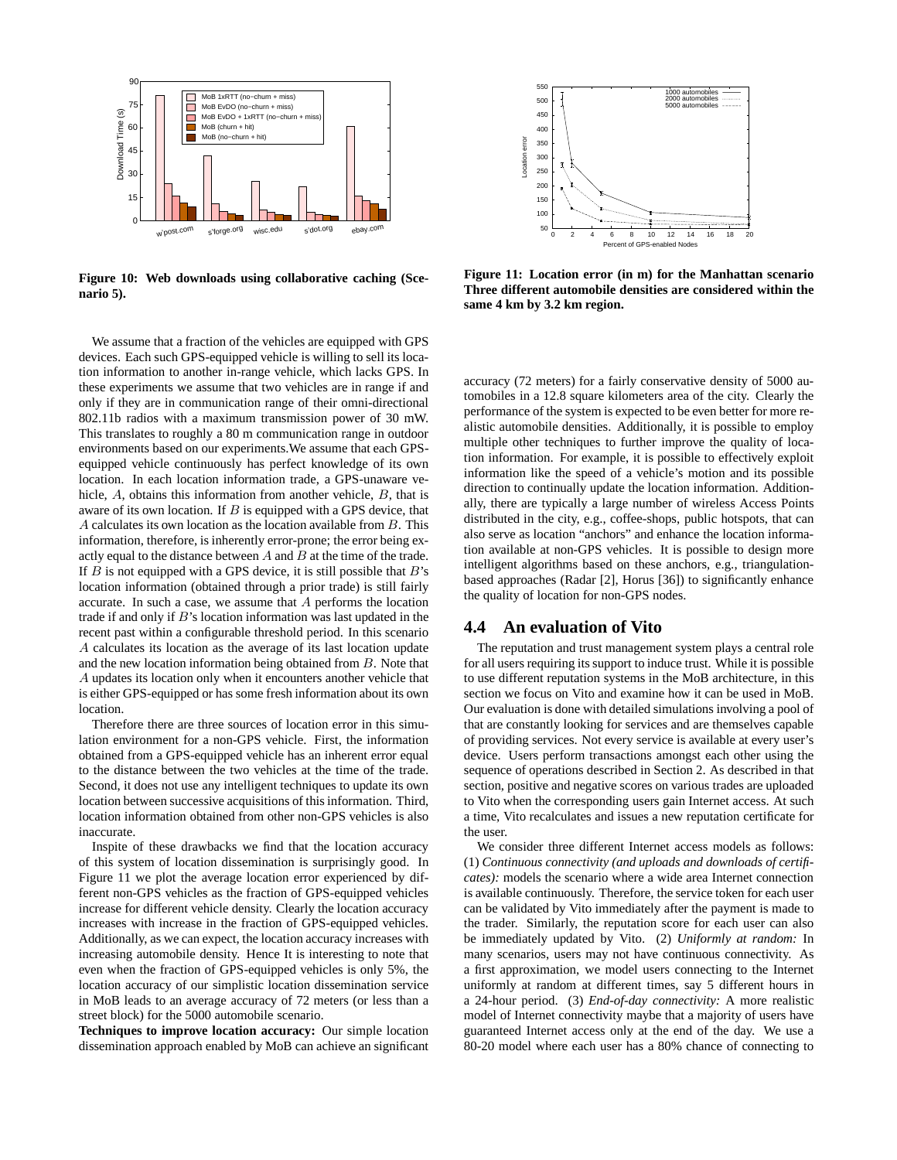

**Figure 10: Web downloads using collaborative caching (Scenario 5).**

We assume that a fraction of the vehicles are equipped with GPS devices. Each such GPS-equipped vehicle is willing to sell its location information to another in-range vehicle, which lacks GPS. In these experiments we assume that two vehicles are in range if and only if they are in communication range of their omni-directional 802.11b radios with a maximum transmission power of 30 mW. This translates to roughly a 80 m communication range in outdoor environments based on our experiments.We assume that each GPSequipped vehicle continuously has perfect knowledge of its own location. In each location information trade, a GPS-unaware vehicle, A, obtains this information from another vehicle, B, that is aware of its own location. If  $B$  is equipped with a GPS device, that  $A$  calculates its own location as the location available from  $B$ . This information, therefore, is inherently error-prone; the error being exactly equal to the distance between  $A$  and  $B$  at the time of the trade. If  $B$  is not equipped with a GPS device, it is still possible that  $B$ 's location information (obtained through a prior trade) is still fairly accurate. In such a case, we assume that A performs the location trade if and only if  $B$ 's location information was last updated in the recent past within a configurable threshold period. In this scenario A calculates its location as the average of its last location update and the new location information being obtained from B. Note that A updates its location only when it encounters another vehicle that is either GPS-equipped or has some fresh information about its own location.

Therefore there are three sources of location error in this simulation environment for a non-GPS vehicle. First, the information obtained from a GPS-equipped vehicle has an inherent error equal to the distance between the two vehicles at the time of the trade. Second, it does not use any intelligent techniques to update its own location between successive acquisitions of this information. Third, location information obtained from other non-GPS vehicles is also inaccurate.

Inspite of these drawbacks we find that the location accuracy of this system of location dissemination is surprisingly good. In Figure 11 we plot the average location error experienced by different non-GPS vehicles as the fraction of GPS-equipped vehicles increase for different vehicle density. Clearly the location accuracy increases with increase in the fraction of GPS-equipped vehicles. Additionally, as we can expect, the location accuracy increases with increasing automobile density. Hence It is interesting to note that even when the fraction of GPS-equipped vehicles is only 5%, the location accuracy of our simplistic location dissemination service in MoB leads to an average accuracy of 72 meters (or less than a street block) for the 5000 automobile scenario.

**Techniques to improve location accuracy:** Our simple location dissemination approach enabled by MoB can achieve an significant



**Figure 11: Location error (in m) for the Manhattan scenario Three different automobile densities are considered within the same 4 km by 3.2 km region.**

accuracy (72 meters) for a fairly conservative density of 5000 automobiles in a 12.8 square kilometers area of the city. Clearly the performance of the system is expected to be even better for more realistic automobile densities. Additionally, it is possible to employ multiple other techniques to further improve the quality of location information. For example, it is possible to effectively exploit information like the speed of a vehicle's motion and its possible direction to continually update the location information. Additionally, there are typically a large number of wireless Access Points distributed in the city, e.g., coffee-shops, public hotspots, that can also serve as location "anchors" and enhance the location information available at non-GPS vehicles. It is possible to design more intelligent algorithms based on these anchors, e.g., triangulationbased approaches (Radar [2], Horus [36]) to significantly enhance the quality of location for non-GPS nodes.

# **4.4 An evaluation of Vito**

The reputation and trust management system plays a central role for all users requiring itssupport to induce trust. While it is possible to use different reputation systems in the MoB architecture, in this section we focus on Vito and examine how it can be used in MoB. Our evaluation is done with detailed simulations involving a pool of that are constantly looking for services and are themselves capable of providing services. Not every service is available at every user's device. Users perform transactions amongst each other using the sequence of operations described in Section 2. As described in that section, positive and negative scores on various trades are uploaded to Vito when the corresponding users gain Internet access. At such a time, Vito recalculates and issues a new reputation certificate for the user.

We consider three different Internet access models as follows: (1) *Continuous connectivity (and uploads and downloads of certificates):* models the scenario where a wide area Internet connection is available continuously. Therefore, the service token for each user can be validated by Vito immediately after the payment is made to the trader. Similarly, the reputation score for each user can also be immediately updated by Vito. (2) *Uniformly at random:* In many scenarios, users may not have continuous connectivity. As a first approximation, we model users connecting to the Internet uniformly at random at different times, say 5 different hours in a 24-hour period. (3) *End-of-day connectivity:* A more realistic model of Internet connectivity maybe that a majority of users have guaranteed Internet access only at the end of the day. We use a 80-20 model where each user has a 80% chance of connecting to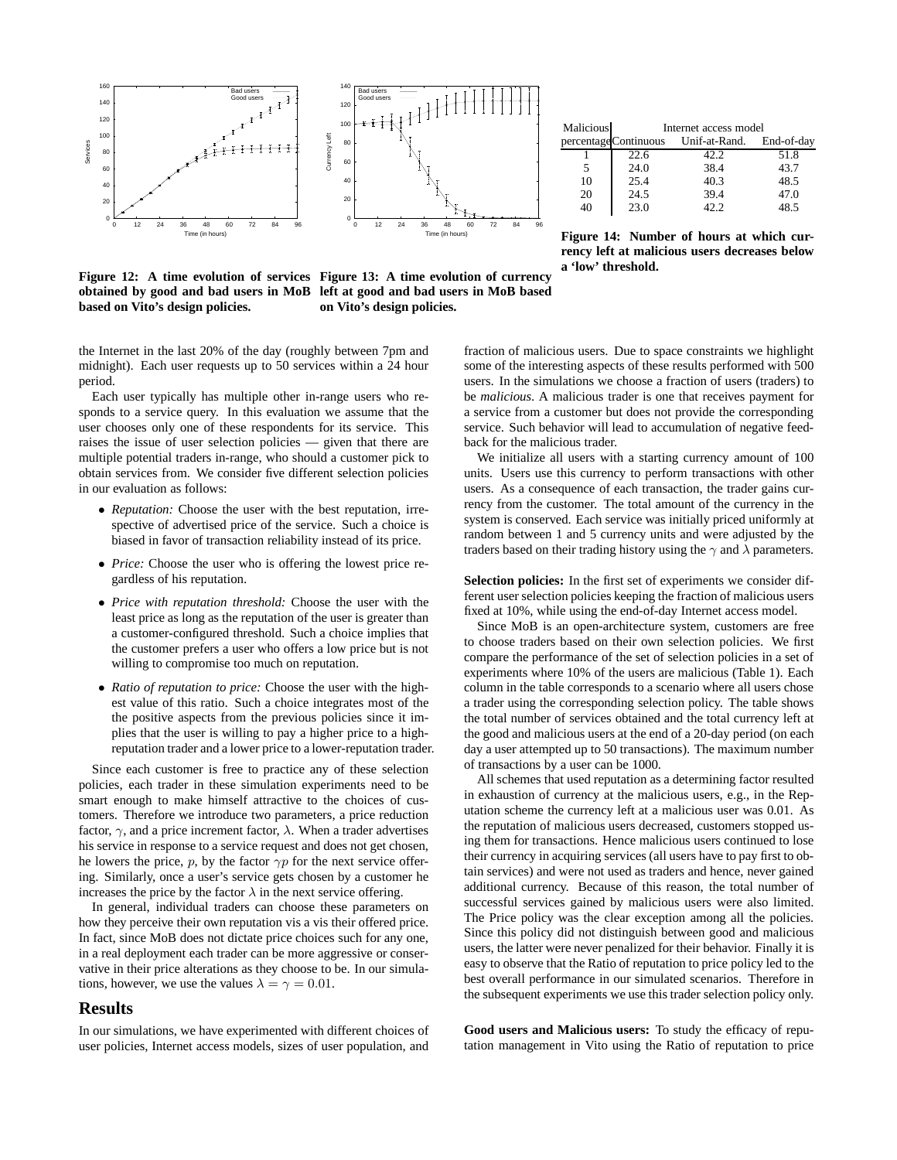



Malicious Internet access model<br>percentageContinuous Unif-at-Rand. I Continuous Unif-at-Rand. End-of-day 1 22.6 42.2 51.8 5 24.0 38.4 43.7 10 25.4 40.3 48.5 20 24.5 39.4 47.0 40 23.0 42.2 48.5

**Figure 14: Number of hours at which currency left at malicious users decreases below a 'low' threshold.**

**Figure 12: A time evolution of services Figure 13: A time evolution of currency obtained by good and bad users in MoB left at good and bad users in MoB based based on Vito's design policies.**

**on Vito's design policies.**

the Internet in the last 20% of the day (roughly between 7pm and midnight). Each user requests up to 50 services within a 24 hour period.

Each user typically has multiple other in-range users who responds to a service query. In this evaluation we assume that the user chooses only one of these respondents for its service. This raises the issue of user selection policies — given that there are multiple potential traders in-range, who should a customer pick to obtain services from. We consider five different selection policies in our evaluation as follows:

- *Reputation:* Choose the user with the best reputation, irrespective of advertised price of the service. Such a choice is biased in favor of transaction reliability instead of its price.
- *Price:* Choose the user who is offering the lowest price regardless of his reputation.
- *Price with reputation threshold:* Choose the user with the least price as long as the reputation of the user is greater than a customer-configured threshold. Such a choice implies that the customer prefers a user who offers a low price but is not willing to compromise too much on reputation.
- *Ratio of reputation to price:* Choose the user with the highest value of this ratio. Such a choice integrates most of the the positive aspects from the previous policies since it implies that the user is willing to pay a higher price to a highreputation trader and a lower price to a lower-reputation trader.

Since each customer is free to practice any of these selection policies, each trader in these simulation experiments need to be smart enough to make himself attractive to the choices of customers. Therefore we introduce two parameters, a price reduction factor,  $\gamma$ , and a price increment factor,  $\lambda$ . When a trader advertises his service in response to a service request and does not get chosen, he lowers the price, p, by the factor  $\gamma p$  for the next service offering. Similarly, once a user's service gets chosen by a customer he increases the price by the factor  $\lambda$  in the next service offering.

In general, individual traders can choose these parameters on how they perceive their own reputation vis a vis their offered price. In fact, since MoB does not dictate price choices such for any one, in a real deployment each trader can be more aggressive or conservative in their price alterations as they choose to be. In our simulations, however, we use the values  $\lambda = \gamma = 0.01$ .

#### **Results**

In our simulations, we have experimented with different choices of user policies, Internet access models, sizes of user population, and

fraction of malicious users. Due to space constraints we highlight some of the interesting aspects of these results performed with 500 users. In the simulations we choose a fraction of users (traders) to be *malicious*. A malicious trader is one that receives payment for a service from a customer but does not provide the corresponding service. Such behavior will lead to accumulation of negative feedback for the malicious trader.

We initialize all users with a starting currency amount of 100 units. Users use this currency to perform transactions with other users. As a consequence of each transaction, the trader gains currency from the customer. The total amount of the currency in the system is conserved. Each service was initially priced uniformly at random between 1 and 5 currency units and were adjusted by the traders based on their trading history using the  $\gamma$  and  $\lambda$  parameters.

**Selection policies:** In the first set of experiments we consider different user selection policies keeping the fraction of malicious users fixed at 10%, while using the end-of-day Internet access model.

Since MoB is an open-architecture system, customers are free to choose traders based on their own selection policies. We first compare the performance of the set of selection policies in a set of experiments where 10% of the users are malicious (Table 1). Each column in the table corresponds to a scenario where all users chose a trader using the corresponding selection policy. The table shows the total number of services obtained and the total currency left at the good and malicious users at the end of a 20-day period (on each day a user attempted up to 50 transactions). The maximum number of transactions by a user can be 1000.

All schemes that used reputation as a determining factor resulted in exhaustion of currency at the malicious users, e.g., in the Reputation scheme the currency left at a malicious user was 0.01. As the reputation of malicious users decreased, customers stopped using them for transactions. Hence malicious users continued to lose their currency in acquiring services (all users have to pay first to obtain services) and were not used as traders and hence, never gained additional currency. Because of this reason, the total number of successful services gained by malicious users were also limited. The Price policy was the clear exception among all the policies. Since this policy did not distinguish between good and malicious users, the latter were never penalized for their behavior. Finally it is easy to observe that the Ratio of reputation to price policy led to the best overall performance in our simulated scenarios. Therefore in the subsequent experiments we use this trader selection policy only.

**Good users and Malicious users:** To study the efficacy of reputation management in Vito using the Ratio of reputation to price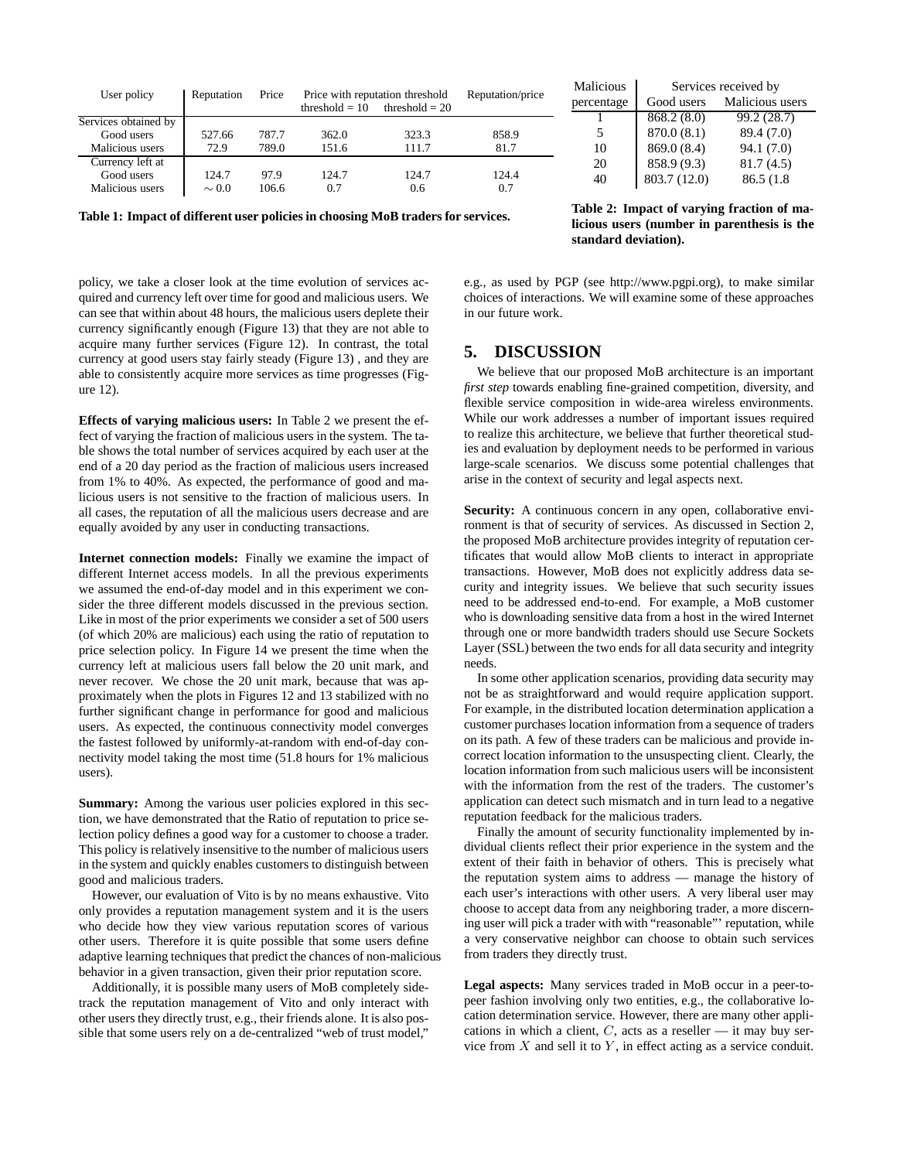| User policy          | Reputation | Price | Price with reputation threshold<br>threshold $= 10$<br>threshold $= 20$ |       | Reputation/price |
|----------------------|------------|-------|-------------------------------------------------------------------------|-------|------------------|
| Services obtained by |            |       |                                                                         |       |                  |
| Good users           | 527.66     | 787.7 | 362.0                                                                   | 323.3 | 858.9            |
| Malicious users      | 72.9       | 789.0 | 151.6                                                                   | 111.7 | 81.7             |
| Currency left at     |            |       |                                                                         |       |                  |
| Good users           | 124.7      | 97.9  | 124.7                                                                   | 124.7 | 124.4            |
| Malicious users      | $\sim 0.0$ | 106.6 | 0.7                                                                     | 0.6   | 0.7              |

| Services received by |                 |  |  |  |  |
|----------------------|-----------------|--|--|--|--|
| Good users           | Malicious users |  |  |  |  |
| 868.2 (8.0)          | 99.2 (28.7)     |  |  |  |  |
| 870.0(8.1)           | 89.4 (7.0)      |  |  |  |  |
| 869.0 (8.4)          | 94.1 (7.0)      |  |  |  |  |
| 858.9 (9.3)          | 81.7(4.5)       |  |  |  |  |
| 803.7 (12.0)         | 86.5 (1.8)      |  |  |  |  |
|                      |                 |  |  |  |  |

**Table 1: Impact of different user policies in choosing MoB traders for services.**

**Table 2: Impact of varying fraction of malicious users (number in parenthesis is the standard deviation).**

policy, we take a closer look at the time evolution of services acquired and currency left over time for good and malicious users. We can see that within about 48 hours, the malicious users deplete their currency significantly enough (Figure 13) that they are not able to acquire many further services (Figure 12). In contrast, the total currency at good users stay fairly steady (Figure 13) , and they are able to consistently acquire more services as time progresses (Figure 12).

**Effects of varying malicious users:** In Table 2 we present the effect of varying the fraction of malicious users in the system. The table shows the total number of services acquired by each user at the end of a 20 day period as the fraction of malicious users increased from 1% to 40%. As expected, the performance of good and malicious users is not sensitive to the fraction of malicious users. In all cases, the reputation of all the malicious users decrease and are equally avoided by any user in conducting transactions.

**Internet connection models:** Finally we examine the impact of different Internet access models. In all the previous experiments we assumed the end-of-day model and in this experiment we consider the three different models discussed in the previous section. Like in most of the prior experiments we consider a set of 500 users (of which 20% are malicious) each using the ratio of reputation to price selection policy. In Figure 14 we present the time when the currency left at malicious users fall below the 20 unit mark, and never recover. We chose the 20 unit mark, because that was approximately when the plots in Figures 12 and 13 stabilized with no further significant change in performance for good and malicious users. As expected, the continuous connectivity model converges the fastest followed by uniformly-at-random with end-of-day connectivity model taking the most time (51.8 hours for 1% malicious users).

**Summary:** Among the various user policies explored in this section, we have demonstrated that the Ratio of reputation to price selection policy defines a good way for a customer to choose a trader. This policy is relatively insensitive to the number of malicious users in the system and quickly enables customers to distinguish between good and malicious traders.

However, our evaluation of Vito is by no means exhaustive. Vito only provides a reputation management system and it is the users who decide how they view various reputation scores of various other users. Therefore it is quite possible that some users define adaptive learning techniques that predict the chances of non-malicious behavior in a given transaction, given their prior reputation score.

Additionally, it is possible many users of MoB completely sidetrack the reputation management of Vito and only interact with other users they directly trust, e.g., their friends alone. It is also possible that some users rely on a de-centralized "web of trust model,"

e.g., as used by PGP (see http://www.pgpi.org), to make similar choices of interactions. We will examine some of these approaches in our future work.

# **5. DISCUSSION**

We believe that our proposed MoB architecture is an important *first step* towards enabling fine-grained competition, diversity, and flexible service composition in wide-area wireless environments. While our work addresses a number of important issues required to realize this architecture, we believe that further theoretical studies and evaluation by deployment needs to be performed in various large-scale scenarios. We discuss some potential challenges that arise in the context of security and legal aspects next.

**Security:** A continuous concern in any open, collaborative environment is that of security of services. As discussed in Section 2, the proposed MoB architecture provides integrity of reputation certificates that would allow MoB clients to interact in appropriate transactions. However, MoB does not explicitly address data security and integrity issues. We believe that such security issues need to be addressed end-to-end. For example, a MoB customer who is downloading sensitive data from a host in the wired Internet through one or more bandwidth traders should use Secure Sockets Layer (SSL) between the two ends for all data security and integrity needs.

In some other application scenarios, providing data security may not be as straightforward and would require application support. For example, in the distributed location determination application a customer purchases location information from a sequence of traders on its path. A few of these traders can be malicious and provide incorrect location information to the unsuspecting client. Clearly, the location information from such malicious users will be inconsistent with the information from the rest of the traders. The customer's application can detect such mismatch and in turn lead to a negative reputation feedback for the malicious traders.

Finally the amount of security functionality implemented by individual clients reflect their prior experience in the system and the extent of their faith in behavior of others. This is precisely what the reputation system aims to address — manage the history of each user's interactions with other users. A very liberal user may choose to accept data from any neighboring trader, a more discerning user will pick a trader with with "reasonable"' reputation, while a very conservative neighbor can choose to obtain such services from traders they directly trust.

**Legal aspects:** Many services traded in MoB occur in a peer-topeer fashion involving only two entities, e.g., the collaborative location determination service. However, there are many other applications in which a client,  $C$ , acts as a reseller — it may buy service from  $X$  and sell it to  $Y$ , in effect acting as a service conduit.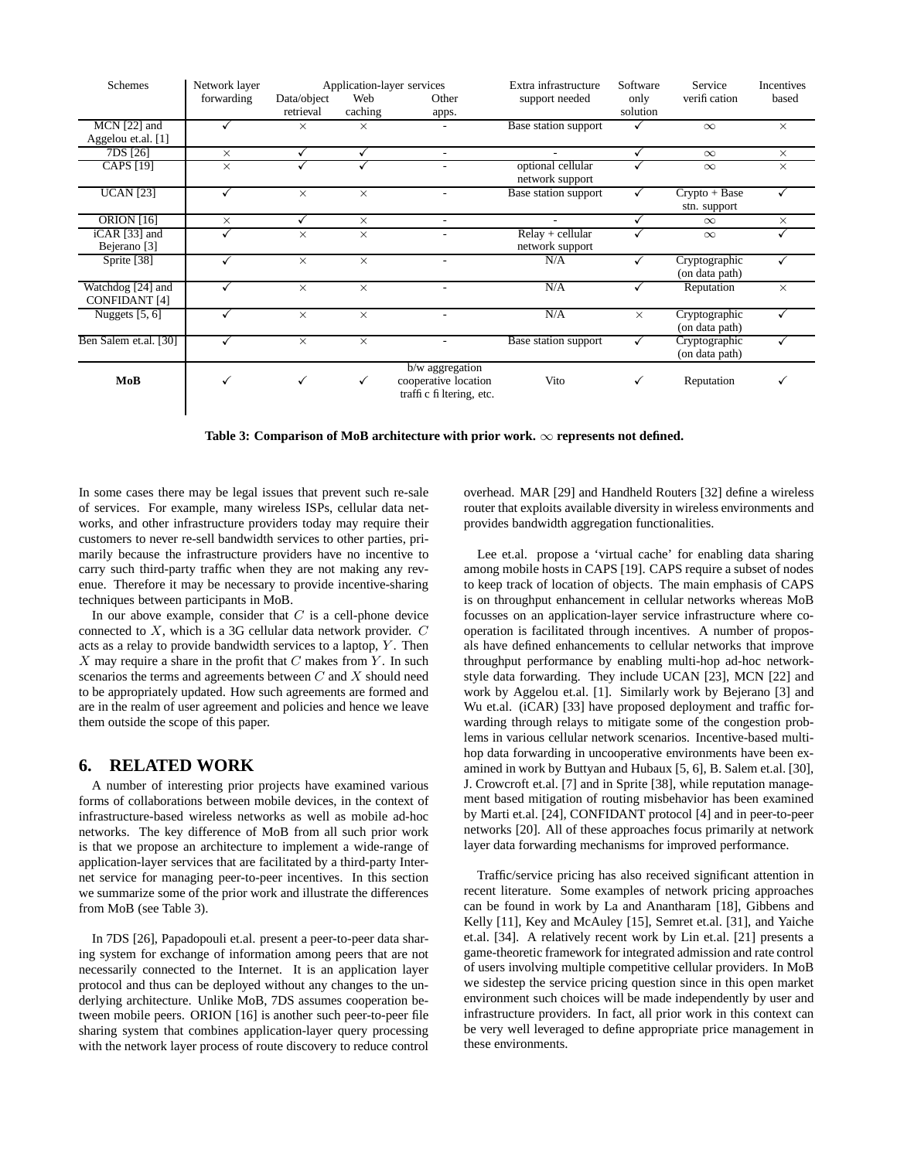| <b>Schemes</b>                            | Network layer | Application-layer services |                |                                                                    | Extra infrastructure                  | Software         | Service                         | Incentives |
|-------------------------------------------|---------------|----------------------------|----------------|--------------------------------------------------------------------|---------------------------------------|------------------|---------------------------------|------------|
|                                           | forwarding    | Data/object<br>retrieval   | Web<br>caching | Other<br>apps.                                                     | support needed                        | only<br>solution | verifi cation                   | based      |
| MCN [22] and<br>Aggelou et.al. [1]        |               | $\times$                   | $\times$       |                                                                    | Base station support                  |                  | $\infty$                        | $\times$   |
| 7DS [26]                                  | $\times$      |                            |                | $\overline{\phantom{a}}$                                           |                                       |                  | $\infty$                        | $\times$   |
| <b>CAPS</b> [19]                          | $\times$      |                            |                |                                                                    | optional cellular<br>network support  |                  | $\infty$                        | $\times$   |
| <b>UCAN</b> [23]                          |               | $\times$                   | $\times$       |                                                                    | Base station support                  |                  | $Crypto + Base$<br>stn. support |            |
| ORION [16]                                | $\times$      |                            | X              | $\overline{\phantom{a}}$                                           |                                       |                  | $\infty$                        | $\times$   |
| iCAR [33] and<br>Bejerano [3]             |               | $\times$                   | $\times$       |                                                                    | $Relay + cellular$<br>network support |                  | $\infty$                        |            |
| Sprite [38]                               |               | $\times$                   | $\times$       | ۰                                                                  | N/A                                   |                  | Cryptographic<br>(on data path) |            |
| Watchdog [24] and<br><b>CONFIDANT</b> [4] |               | $\times$                   | $\times$       | $\overline{\phantom{a}}$                                           | N/A                                   |                  | Reputation                      | $\times$   |
| Nuggets $[5, 6]$                          |               | $\times$                   | $\times$       | ٠                                                                  | N/A                                   | $\times$         | Cryptographic<br>(on data path) |            |
| Ben Salem et.al. [30]                     |               | $\times$                   | $\times$       |                                                                    | Base station support                  |                  | Cryptographic<br>(on data path) |            |
| MoB                                       | √             |                            | √              | b/w aggregation<br>cooperative location<br>traffic filtering, etc. | Vito                                  | $\checkmark$     | Reputation                      |            |

**Table 3: Comparison of MoB architecture with prior work.** ∞ **represents not defined.**

In some cases there may be legal issues that prevent such re-sale of services. For example, many wireless ISPs, cellular data networks, and other infrastructure providers today may require their customers to never re-sell bandwidth services to other parties, primarily because the infrastructure providers have no incentive to carry such third-party traffic when they are not making any revenue. Therefore it may be necessary to provide incentive-sharing techniques between participants in MoB.

In our above example, consider that  $C$  is a cell-phone device connected to X, which is a 3G cellular data network provider. C acts as a relay to provide bandwidth services to a laptop, Y . Then  $X$  may require a share in the profit that  $C$  makes from  $Y$ . In such scenarios the terms and agreements between  $C$  and  $X$  should need to be appropriately updated. How such agreements are formed and are in the realm of user agreement and policies and hence we leave them outside the scope of this paper.

#### **6. RELATED WORK**

A number of interesting prior projects have examined various forms of collaborations between mobile devices, in the context of infrastructure-based wireless networks as well as mobile ad-hoc networks. The key difference of MoB from all such prior work is that we propose an architecture to implement a wide-range of application-layer services that are facilitated by a third-party Internet service for managing peer-to-peer incentives. In this section we summarize some of the prior work and illustrate the differences from MoB (see Table 3).

In 7DS [26], Papadopouli et.al. present a peer-to-peer data sharing system for exchange of information among peers that are not necessarily connected to the Internet. It is an application layer protocol and thus can be deployed without any changes to the underlying architecture. Unlike MoB, 7DS assumes cooperation between mobile peers. ORION [16] is another such peer-to-peer file sharing system that combines application-layer query processing with the network layer process of route discovery to reduce control

overhead. MAR [29] and Handheld Routers [32] define a wireless router that exploits available diversity in wireless environments and provides bandwidth aggregation functionalities.

Lee et.al. propose a 'virtual cache' for enabling data sharing among mobile hosts in CAPS [19]. CAPS require a subset of nodes to keep track of location of objects. The main emphasis of CAPS is on throughput enhancement in cellular networks whereas MoB focusses on an application-layer service infrastructure where cooperation is facilitated through incentives. A number of proposals have defined enhancements to cellular networks that improve throughput performance by enabling multi-hop ad-hoc networkstyle data forwarding. They include UCAN [23], MCN [22] and work by Aggelou et.al. [1]. Similarly work by Bejerano [3] and Wu et.al. (iCAR) [33] have proposed deployment and traffic forwarding through relays to mitigate some of the congestion problems in various cellular network scenarios. Incentive-based multihop data forwarding in uncooperative environments have been examined in work by Buttyan and Hubaux [5, 6], B. Salem et.al. [30], J. Crowcroft et.al. [7] and in Sprite [38], while reputation management based mitigation of routing misbehavior has been examined by Marti et.al. [24], CONFIDANT protocol [4] and in peer-to-peer networks [20]. All of these approaches focus primarily at network layer data forwarding mechanisms for improved performance.

Traffic/service pricing has also received significant attention in recent literature. Some examples of network pricing approaches can be found in work by La and Anantharam [18], Gibbens and Kelly [11], Key and McAuley [15], Semret et.al. [31], and Yaiche et.al. [34]. A relatively recent work by Lin et.al. [21] presents a game-theoretic framework for integrated admission and rate control of users involving multiple competitive cellular providers. In MoB we sidestep the service pricing question since in this open market environment such choices will be made independently by user and infrastructure providers. In fact, all prior work in this context can be very well leveraged to define appropriate price management in these environments.